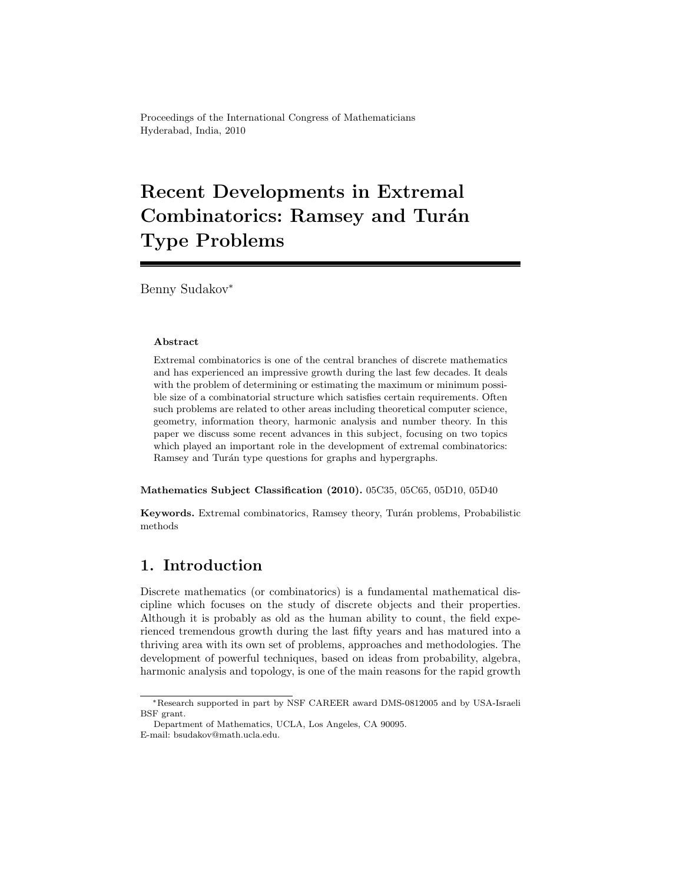Proceedings of the International Congress of Mathematicians Hyderabad, India, 2010

# Recent Developments in Extremal Combinatorics: Ramsey and Turán Type Problems

Benny Sudakov<sup>∗</sup>

#### Abstract

Extremal combinatorics is one of the central branches of discrete mathematics and has experienced an impressive growth during the last few decades. It deals with the problem of determining or estimating the maximum or minimum possible size of a combinatorial structure which satisfies certain requirements. Often such problems are related to other areas including theoretical computer science, geometry, information theory, harmonic analysis and number theory. In this paper we discuss some recent advances in this subject, focusing on two topics which played an important role in the development of extremal combinatorics: Ramsey and Turán type questions for graphs and hypergraphs.

Mathematics Subject Classification (2010). 05C35, 05C65, 05D10, 05D40

Keywords. Extremal combinatorics, Ramsey theory, Turán problems, Probabilistic methods

### 1. Introduction

Discrete mathematics (or combinatorics) is a fundamental mathematical discipline which focuses on the study of discrete objects and their properties. Although it is probably as old as the human ability to count, the field experienced tremendous growth during the last fifty years and has matured into a thriving area with its own set of problems, approaches and methodologies. The development of powerful techniques, based on ideas from probability, algebra, harmonic analysis and topology, is one of the main reasons for the rapid growth

<sup>∗</sup>Research supported in part by NSF CAREER award DMS-0812005 and by USA-Israeli BSF grant.

Department of Mathematics, UCLA, Los Angeles, CA 90095. E-mail: bsudakov@math.ucla.edu.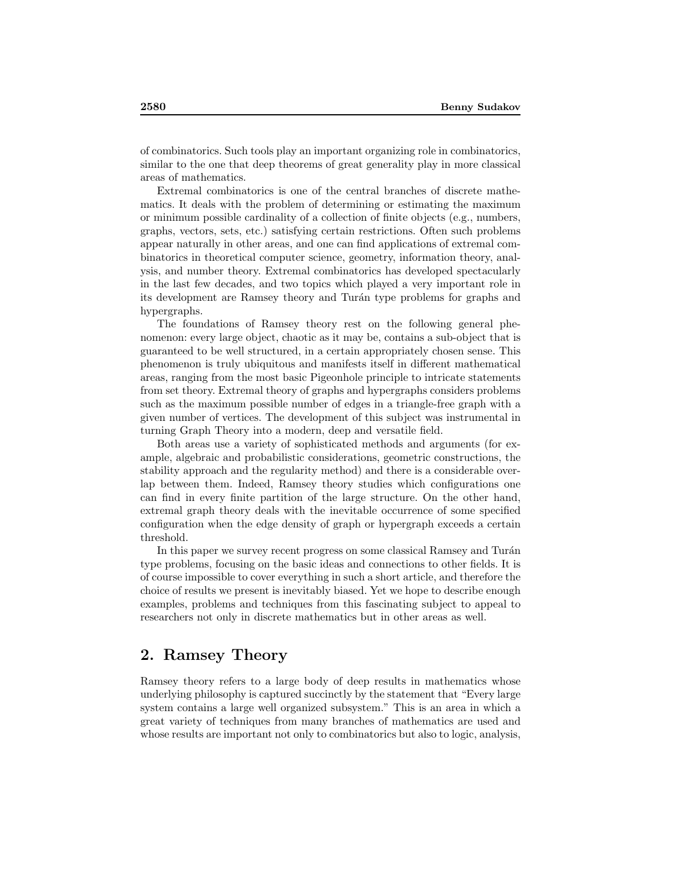of combinatorics. Such tools play an important organizing role in combinatorics, similar to the one that deep theorems of great generality play in more classical areas of mathematics.

Extremal combinatorics is one of the central branches of discrete mathematics. It deals with the problem of determining or estimating the maximum or minimum possible cardinality of a collection of finite objects (e.g., numbers, graphs, vectors, sets, etc.) satisfying certain restrictions. Often such problems appear naturally in other areas, and one can find applications of extremal combinatorics in theoretical computer science, geometry, information theory, analysis, and number theory. Extremal combinatorics has developed spectacularly in the last few decades, and two topics which played a very important role in its development are Ramsey theory and Turán type problems for graphs and hypergraphs.

The foundations of Ramsey theory rest on the following general phenomenon: every large object, chaotic as it may be, contains a sub-object that is guaranteed to be well structured, in a certain appropriately chosen sense. This phenomenon is truly ubiquitous and manifests itself in different mathematical areas, ranging from the most basic Pigeonhole principle to intricate statements from set theory. Extremal theory of graphs and hypergraphs considers problems such as the maximum possible number of edges in a triangle-free graph with a given number of vertices. The development of this subject was instrumental in turning Graph Theory into a modern, deep and versatile field.

Both areas use a variety of sophisticated methods and arguments (for example, algebraic and probabilistic considerations, geometric constructions, the stability approach and the regularity method) and there is a considerable overlap between them. Indeed, Ramsey theory studies which configurations one can find in every finite partition of the large structure. On the other hand, extremal graph theory deals with the inevitable occurrence of some specified configuration when the edge density of graph or hypergraph exceeds a certain threshold.

In this paper we survey recent progress on some classical Ramsey and Turán type problems, focusing on the basic ideas and connections to other fields. It is of course impossible to cover everything in such a short article, and therefore the choice of results we present is inevitably biased. Yet we hope to describe enough examples, problems and techniques from this fascinating subject to appeal to researchers not only in discrete mathematics but in other areas as well.

## 2. Ramsey Theory

Ramsey theory refers to a large body of deep results in mathematics whose underlying philosophy is captured succinctly by the statement that "Every large system contains a large well organized subsystem." This is an area in which a great variety of techniques from many branches of mathematics are used and whose results are important not only to combinatorics but also to logic, analysis,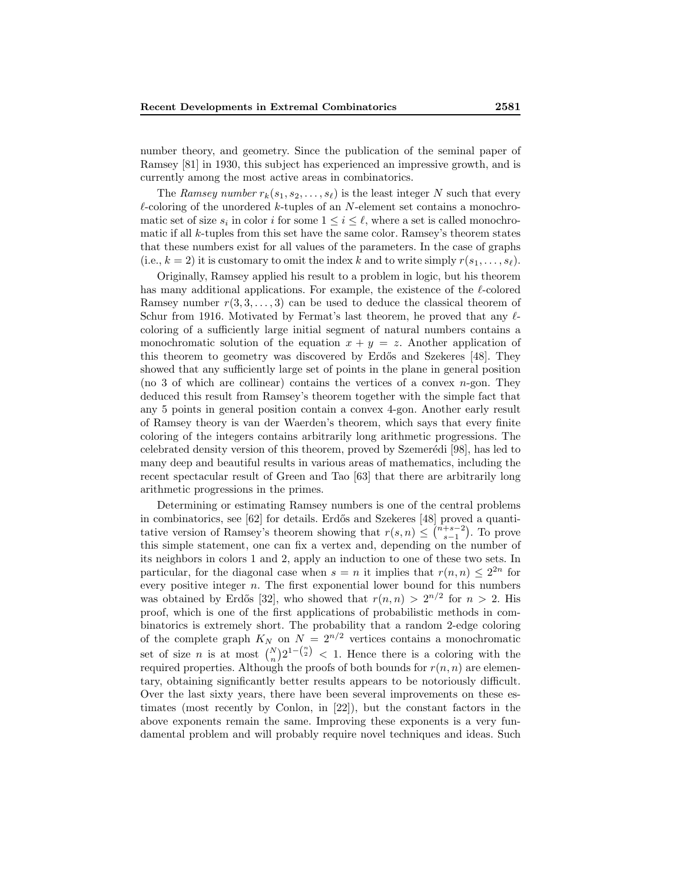number theory, and geometry. Since the publication of the seminal paper of Ramsey [81] in 1930, this subject has experienced an impressive growth, and is currently among the most active areas in combinatorics.

The Ramsey number  $r_k(s_1, s_2, \ldots, s_\ell)$  is the least integer N such that every  $\ell$ -coloring of the unordered k-tuples of an N-element set contains a monochromatic set of size  $s_i$  in color i for some  $1 \leq i \leq \ell$ , where a set is called monochromatic if all  $k$ -tuples from this set have the same color. Ramsey's theorem states that these numbers exist for all values of the parameters. In the case of graphs (i.e.,  $k = 2$ ) it is customary to omit the index k and to write simply  $r(s_1, \ldots, s_\ell)$ .

Originally, Ramsey applied his result to a problem in logic, but his theorem has many additional applications. For example, the existence of the  $\ell$ -colored Ramsey number  $r(3, 3, \ldots, 3)$  can be used to deduce the classical theorem of Schur from 1916. Motivated by Fermat's last theorem, he proved that any  $\ell$ coloring of a sufficiently large initial segment of natural numbers contains a monochromatic solution of the equation  $x + y = z$ . Another application of this theorem to geometry was discovered by Erdős and Szekeres [48]. They showed that any sufficiently large set of points in the plane in general position (no 3 of which are collinear) contains the vertices of a convex  $n$ -gon. They deduced this result from Ramsey's theorem together with the simple fact that any 5 points in general position contain a convex 4-gon. Another early result of Ramsey theory is van der Waerden's theorem, which says that every finite coloring of the integers contains arbitrarily long arithmetic progressions. The celebrated density version of this theorem, proved by Szemerédi [98], has led to many deep and beautiful results in various areas of mathematics, including the recent spectacular result of Green and Tao [63] that there are arbitrarily long arithmetic progressions in the primes.

Determining or estimating Ramsey numbers is one of the central problems in combinatorics, see [62] for details. Erdős and Szekeres [48] proved a quantitative version of Ramsey's theorem showing that  $r(s, n) \leq {n+s-2 \choose s-1}$ . To prove this simple statement, one can fix a vertex and, depending on the number of its neighbors in colors 1 and 2, apply an induction to one of these two sets. In particular, for the diagonal case when  $s = n$  it implies that  $r(n,n) \leq 2^{2n}$  for every positive integer  $n$ . The first exponential lower bound for this numbers was obtained by Erdős [32], who showed that  $r(n,n) > 2^{n/2}$  for  $n > 2$ . His proof, which is one of the first applications of probabilistic methods in combinatorics is extremely short. The probability that a random 2-edge coloring of the complete graph  $K_N$  on  $N = 2^{n/2}$  vertices contains a monochromatic set of size *n* is at most  $\binom{N}{n} 2^{1-\binom{n}{2}}$  < 1. Hence there is a coloring with the required properties. Although the proofs of both bounds for  $r(n, n)$  are elementary, obtaining significantly better results appears to be notoriously difficult. Over the last sixty years, there have been several improvements on these estimates (most recently by Conlon, in [22]), but the constant factors in the above exponents remain the same. Improving these exponents is a very fundamental problem and will probably require novel techniques and ideas. Such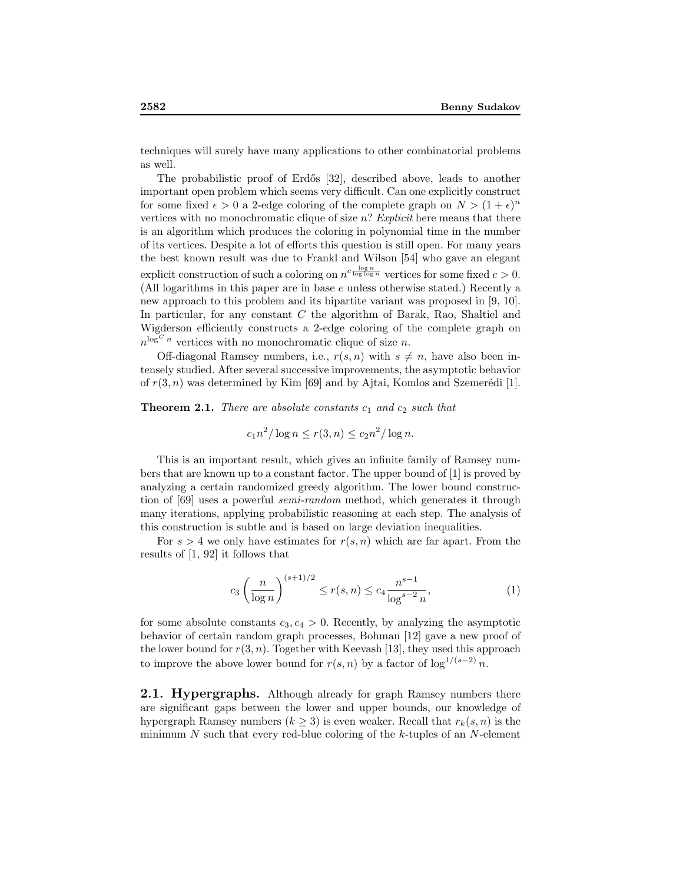techniques will surely have many applications to other combinatorial problems as well.

The probabilistic proof of Erdős [32], described above, leads to another important open problem which seems very difficult. Can one explicitly construct for some fixed  $\epsilon > 0$  a 2-edge coloring of the complete graph on  $N > (1 + \epsilon)^n$ vertices with no monochromatic clique of size  $n$ ? Explicit here means that there is an algorithm which produces the coloring in polynomial time in the number of its vertices. Despite a lot of efforts this question is still open. For many years the best known result was due to Frankl and Wilson [54] who gave an elegant explicit construction of such a coloring on  $n^{c \frac{\log n}{\log \log n}}$  vertices for some fixed  $c > 0$ . (All logarithms in this paper are in base e unless otherwise stated.) Recently a new approach to this problem and its bipartite variant was proposed in [9, 10]. In particular, for any constant C the algorithm of Barak, Rao, Shaltiel and Wigderson efficiently constructs a 2-edge coloring of the complete graph on  $n^{\log^C n}$  vertices with no monochromatic clique of size n.

Off-diagonal Ramsey numbers, i.e.,  $r(s, n)$  with  $s \neq n$ , have also been intensely studied. After several successive improvements, the asymptotic behavior of  $r(3, n)$  was determined by Kim [69] and by Ajtai, Komlos and Szemerédi [1].

**Theorem 2.1.** There are absolute constants  $c_1$  and  $c_2$  such that

 $c_1 n^2 / \log n \le r(3, n) \le c_2 n^2 / \log n.$ 

This is an important result, which gives an infinite family of Ramsey numbers that are known up to a constant factor. The upper bound of [1] is proved by analyzing a certain randomized greedy algorithm. The lower bound construction of [69] uses a powerful *semi-random* method, which generates it through many iterations, applying probabilistic reasoning at each step. The analysis of this construction is subtle and is based on large deviation inequalities.

For  $s > 4$  we only have estimates for  $r(s, n)$  which are far apart. From the results of [1, 92] it follows that

$$
c_3 \left(\frac{n}{\log n}\right)^{(s+1)/2} \le r(s,n) \le c_4 \frac{n^{s-1}}{\log^{s-2} n},\tag{1}
$$

for some absolute constants  $c_3, c_4 > 0$ . Recently, by analyzing the asymptotic behavior of certain random graph processes, Bohman [12] gave a new proof of the lower bound for  $r(3, n)$ . Together with Keevash [13], they used this approach to improve the above lower bound for  $r(s, n)$  by a factor of log<sup>1/(s-2)</sup> n.

**2.1. Hypergraphs.** Although already for graph Ramsey numbers there are significant gaps between the lower and upper bounds, our knowledge of hypergraph Ramsey numbers  $(k \geq 3)$  is even weaker. Recall that  $r_k(s,n)$  is the minimum  $N$  such that every red-blue coloring of the  $k$ -tuples of an  $N$ -element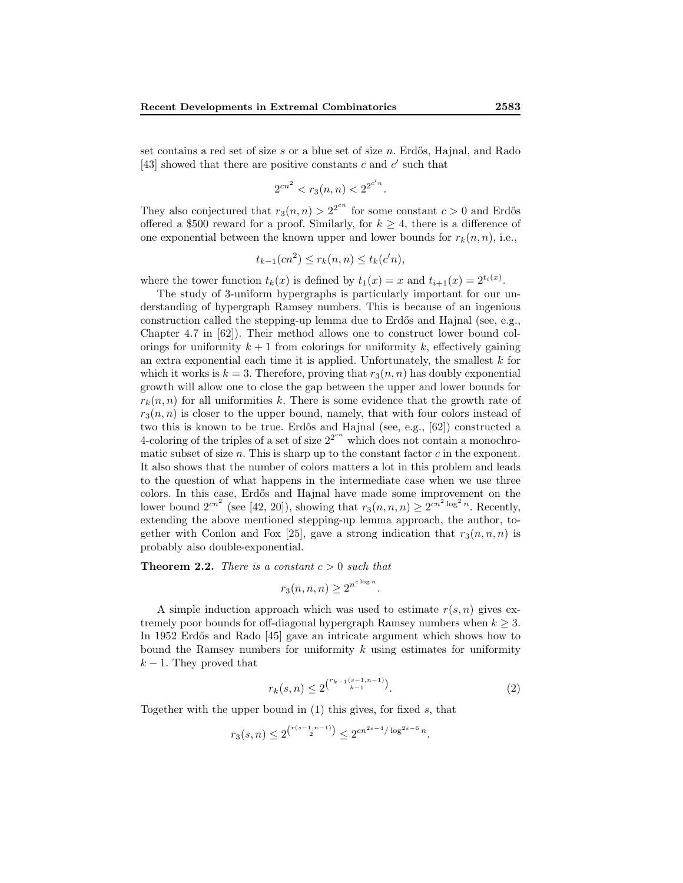set contains a red set of size  $s$  or a blue set of size  $n$ . Erdős, Hajnal, and Rado [43] showed that there are positive constants c and  $c'$  such that

$$
2^{cn^2} < r_3(n,n) < 2^{2^{c'n}}.
$$

They also conjectured that  $r_3(n,n) > 2^{2^{cn}}$  for some constant  $c > 0$  and Erdős offered a \$500 reward for a proof. Similarly, for  $k \geq 4$ , there is a difference of one exponential between the known upper and lower bounds for  $r_k(n, n)$ , i.e.,

$$
t_{k-1}(cn^2) \le r_k(n,n) \le t_k(c'n),
$$

where the tower function  $t_k(x)$  is defined by  $t_1(x) = x$  and  $t_{i+1}(x) = 2^{t_i(x)}$ .

The study of 3-uniform hypergraphs is particularly important for our understanding of hypergraph Ramsey numbers. This is because of an ingenious construction called the stepping-up lemma due to Erdős and Hajnal (see, e.g., Chapter 4.7 in [62]). Their method allows one to construct lower bound colorings for uniformity  $k + 1$  from colorings for uniformity k, effectively gaining an extra exponential each time it is applied. Unfortunately, the smallest  $k$  for which it works is  $k = 3$ . Therefore, proving that  $r_3(n, n)$  has doubly exponential growth will allow one to close the gap between the upper and lower bounds for  $r_k(n, n)$  for all uniformities k. There is some evidence that the growth rate of  $r_3(n, n)$  is closer to the upper bound, namely, that with four colors instead of two this is known to be true. Erd˝os and Hajnal (see, e.g., [62]) constructed a 4-coloring of the triples of a set of size  $2^{2^{cn}}$  which does not contain a monochromatic subset of size  $n$ . This is sharp up to the constant factor  $c$  in the exponent. It also shows that the number of colors matters a lot in this problem and leads to the question of what happens in the intermediate case when we use three colors. In this case, Erdős and Hajnal have made some improvement on the lower bound  $2^{cn^2}$  (see [42, 20]), showing that  $r_3(n, n, n) \ge 2^{cn^2 \log^2 n}$ . Recently, extending the above mentioned stepping-up lemma approach, the author, together with Conlon and Fox [25], gave a strong indication that  $r_3(n, n, n)$  is probably also double-exponential.

**Theorem 2.2.** There is a constant  $c > 0$  such that

$$
r_3(n, n, n) \ge 2^{n^{c \log n}}.
$$

A simple induction approach which was used to estimate  $r(s, n)$  gives extremely poor bounds for off-diagonal hypergraph Ramsey numbers when  $k \geq 3$ . In 1952 Erdős and Rado [45] gave an intricate argument which shows how to bound the Ramsey numbers for uniformity  $k$  using estimates for uniformity  $k-1$ . They proved that

$$
r_k(s,n) \le 2^{\binom{r_{k-1}(s-1,n-1)}{k-1}}.\tag{2}
$$

Together with the upper bound in  $(1)$  this gives, for fixed s, that

$$
r_3(s,n) \le 2^{\binom{r(s-1,n-1)}{2}} \le 2^{cn^{2s-4}/\log^{2s-6}n}.
$$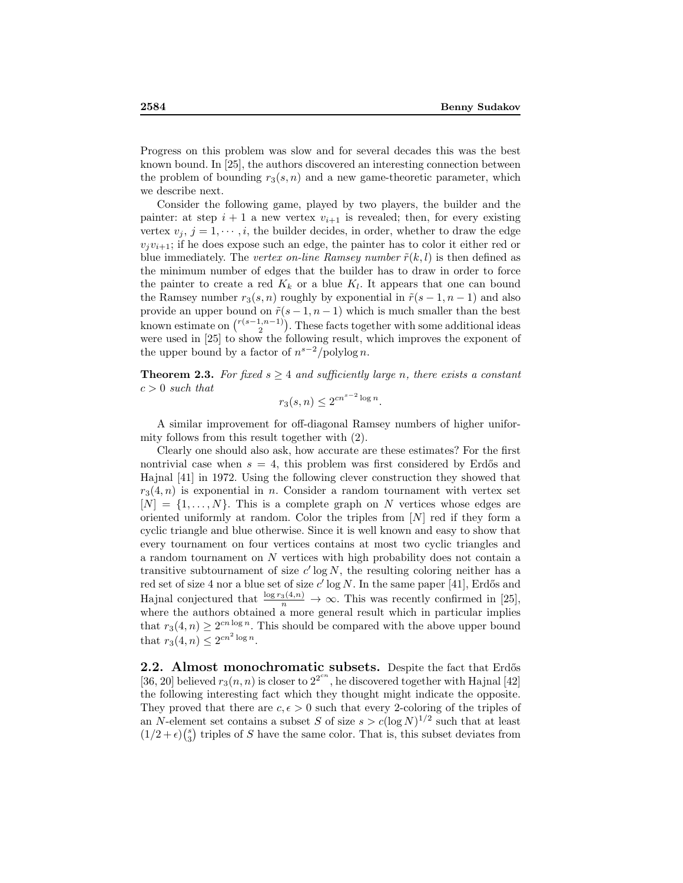Progress on this problem was slow and for several decades this was the best known bound. In [25], the authors discovered an interesting connection between the problem of bounding  $r_3(s, n)$  and a new game-theoretic parameter, which we describe next.

Consider the following game, played by two players, the builder and the painter: at step  $i + 1$  a new vertex  $v_{i+1}$  is revealed; then, for every existing vertex  $v_j, j = 1, \dots, i$ , the builder decides, in order, whether to draw the edge  $v_jv_{i+1}$ ; if he does expose such an edge, the painter has to color it either red or blue immediately. The vertex on-line Ramsey number  $\tilde{r}(k, l)$  is then defined as the minimum number of edges that the builder has to draw in order to force the painter to create a red  $K_k$  or a blue  $K_l$ . It appears that one can bound the Ramsey number  $r_3(s, n)$  roughly by exponential in  $\tilde{r}(s - 1, n - 1)$  and also provide an upper bound on  $\tilde{r}(s-1,n-1)$  which is much smaller than the best known estimate on  $\binom{r(s-1,n-1)}{2}$ . These facts together with some additional ideas were used in [25] to show the following result, which improves the exponent of the upper bound by a factor of  $n^{s-2}/p$ olylog n.

**Theorem 2.3.** For fixed  $s \geq 4$  and sufficiently large n, there exists a constant  $c > 0$  such that

$$
r_3(s,n) \le 2^{cn^{s-2}\log n}.
$$

A similar improvement for off-diagonal Ramsey numbers of higher uniformity follows from this result together with (2).

Clearly one should also ask, how accurate are these estimates? For the first nontrivial case when  $s = 4$ , this problem was first considered by Erdős and Hajnal [41] in 1972. Using the following clever construction they showed that  $r_3(4, n)$  is exponential in n. Consider a random tournament with vertex set  $[N] = \{1, \ldots, N\}$ . This is a complete graph on N vertices whose edges are oriented uniformly at random. Color the triples from  $[N]$  red if they form a cyclic triangle and blue otherwise. Since it is well known and easy to show that every tournament on four vertices contains at most two cyclic triangles and a random tournament on  $N$  vertices with high probability does not contain a transitive subtournament of size  $c' \log N$ , the resulting coloring neither has a red set of size 4 nor a blue set of size  $c'$  log N. In the same paper [41], Erdős and Hajnal conjectured that  $\frac{\log r_3(4,n)}{n} \to \infty$ . This was recently confirmed in [25], where the authors obtained a more general result which in particular implies that  $r_3(4, n) \geq 2^{cn \log n}$ . This should be compared with the above upper bound that  $r_3(4, n) \leq 2^{cn^2 \log n}$ .

**2.2.** Almost monochromatic subsets. Despite the fact that Erdős [36, 20] believed  $r_3(n, n)$  is closer to  $2^{2^{cn}}$ , he discovered together with Hajnal [42] the following interesting fact which they thought might indicate the opposite. They proved that there are  $c, \epsilon > 0$  such that every 2-coloring of the triples of an N-element set contains a subset S of size  $s > c(\log N)^{1/2}$  such that at least  $(1/2 + \epsilon) {s \choose 3}$  triples of S have the same color. That is, this subset deviates from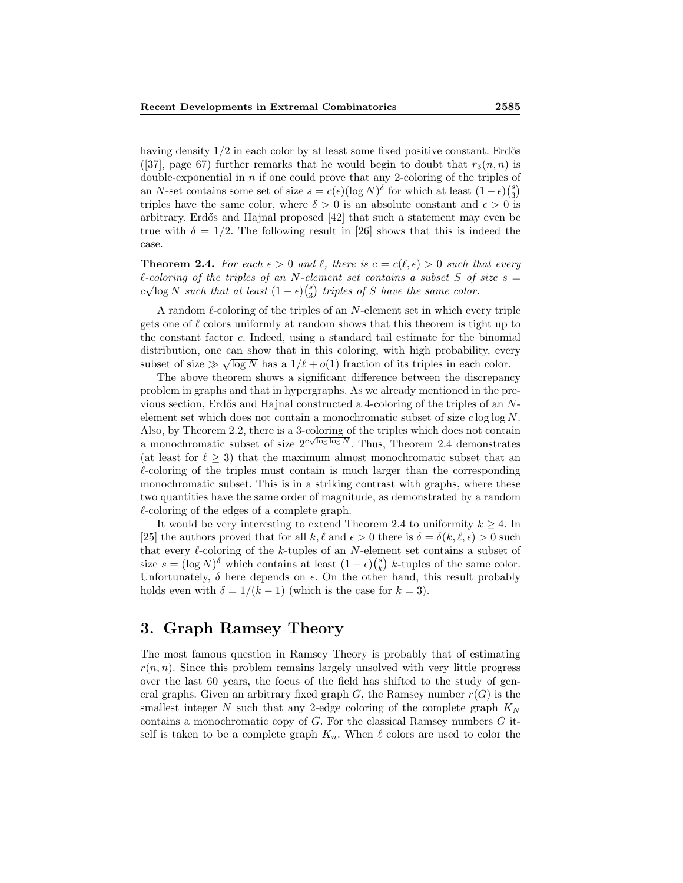having density  $1/2$  in each color by at least some fixed positive constant. Erdős ([37], page 67) further remarks that he would begin to doubt that  $r_3(n,n)$  is double-exponential in  $n$  if one could prove that any 2-coloring of the triples of an N-set contains some set of size  $s = c(\epsilon)(\log N)^{\delta}$  for which at least  $(1 - \epsilon) {s \choose 3}$ triples have the same color, where  $\delta > 0$  is an absolute constant and  $\epsilon > 0$  is arbitrary. Erd˝os and Hajnal proposed [42] that such a statement may even be true with  $\delta = 1/2$ . The following result in [26] shows that this is indeed the case.

**Theorem 2.4.** For each  $\epsilon > 0$  and  $\ell$ , there is  $c = c(\ell, \epsilon) > 0$  such that every  $\ell$ -coloring of the triples of an N-element set contains a subset S of size  $s =$  $c\sqrt{\log N}$  such that at least  $(1 - \epsilon)\binom{s}{3}$  triples of S have the same color.

A random  $\ell$ -coloring of the triples of an  $N$ -element set in which every triple gets one of  $\ell$  colors uniformly at random shows that this theorem is tight up to the constant factor c. Indeed, using a standard tail estimate for the binomial distribution, one can show that in this coloring, with high probability, every subset of size  $\gg \sqrt{\log N}$  has a  $1/\ell + o(1)$  fraction of its triples in each color.

The above theorem shows a significant difference between the discrepancy problem in graphs and that in hypergraphs. As we already mentioned in the previous section, Erdős and Hajnal constructed a 4-coloring of the triples of an  $N$ element set which does not contain a monochromatic subset of size  $c \log \log N$ . Also, by Theorem 2.2, there is a 3-coloring of the triples which does not contain a monochromatic subset of size  $2^{c\sqrt{\log \log N}}$ . Thus, Theorem 2.4 demonstrates (at least for  $\ell \geq 3$ ) that the maximum almost monochromatic subset that an  $\ell$ -coloring of the triples must contain is much larger than the corresponding monochromatic subset. This is in a striking contrast with graphs, where these two quantities have the same order of magnitude, as demonstrated by a random  $\ell$ -coloring of the edges of a complete graph.

It would be very interesting to extend Theorem 2.4 to uniformity  $k \geq 4$ . In [25] the authors proved that for all  $k, \ell$  and  $\epsilon > 0$  there is  $\delta = \delta(k, \ell, \epsilon) > 0$  such that every  $\ell$ -coloring of the k-tuples of an N-element set contains a subset of size  $s = (\log N)^{\delta}$  which contains at least  $(1 - \epsilon) {s \choose k}$  k-tuples of the same color. Unfortunately,  $\delta$  here depends on  $\epsilon$ . On the other hand, this result probably holds even with  $\delta = 1/(k-1)$  (which is the case for  $k = 3$ ).

#### 3. Graph Ramsey Theory

The most famous question in Ramsey Theory is probably that of estimating  $r(n, n)$ . Since this problem remains largely unsolved with very little progress over the last 60 years, the focus of the field has shifted to the study of general graphs. Given an arbitrary fixed graph  $G$ , the Ramsey number  $r(G)$  is the smallest integer N such that any 2-edge coloring of the complete graph  $K_N$ contains a monochromatic copy of G. For the classical Ramsey numbers G itself is taken to be a complete graph  $K_n$ . When  $\ell$  colors are used to color the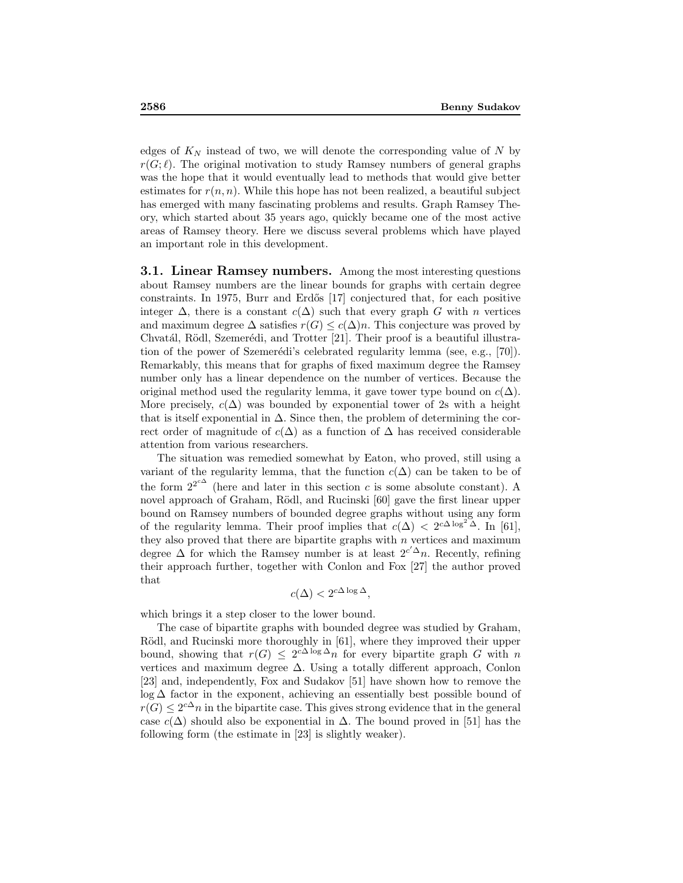edges of  $K_N$  instead of two, we will denote the corresponding value of N by  $r(G; \ell)$ . The original motivation to study Ramsey numbers of general graphs was the hope that it would eventually lead to methods that would give better estimates for  $r(n, n)$ . While this hope has not been realized, a beautiful subject has emerged with many fascinating problems and results. Graph Ramsey Theory, which started about 35 years ago, quickly became one of the most active areas of Ramsey theory. Here we discuss several problems which have played an important role in this development.

**3.1. Linear Ramsey numbers.** Among the most interesting questions about Ramsey numbers are the linear bounds for graphs with certain degree constraints. In 1975, Burr and Erdős [17] conjectured that, for each positive integer  $\Delta$ , there is a constant  $c(\Delta)$  such that every graph G with n vertices and maximum degree  $\Delta$  satisfies  $r(G) \leq c(\Delta)n$ . This conjecture was proved by Chvatál, Rödl, Szemerédi, and Trotter [21]. Their proof is a beautiful illustration of the power of Szemerédi's celebrated regularity lemma (see, e.g., [70]). Remarkably, this means that for graphs of fixed maximum degree the Ramsey number only has a linear dependence on the number of vertices. Because the original method used the regularity lemma, it gave tower type bound on  $c(\Delta)$ . More precisely,  $c(\Delta)$  was bounded by exponential tower of 2s with a height that is itself exponential in  $\Delta$ . Since then, the problem of determining the correct order of magnitude of  $c(\Delta)$  as a function of  $\Delta$  has received considerable attention from various researchers.

The situation was remedied somewhat by Eaton, who proved, still using a variant of the regularity lemma, that the function  $c(\Delta)$  can be taken to be of the form  $2^{2c\Delta}$  (here and later in this section c is some absolute constant). A novel approach of Graham, Rödl, and Rucinski [60] gave the first linear upper bound on Ramsey numbers of bounded degree graphs without using any form of the regularity lemma. Their proof implies that  $c(\Delta) < 2^{c\Delta \log^2 \Delta}$ . In [61], they also proved that there are bipartite graphs with  $n$  vertices and maximum degree  $\Delta$  for which the Ramsey number is at least  $2^{c'\Delta}n$ . Recently, refining their approach further, together with Conlon and Fox [27] the author proved that

$$
c(\Delta) < 2^{c\Delta \log \Delta},
$$

which brings it a step closer to the lower bound.

The case of bipartite graphs with bounded degree was studied by Graham, Rödl, and Rucinski more thoroughly in [61], where they improved their upper bound, showing that  $r(G) \leq 2^{c\Delta \log \Delta} n$  for every bipartite graph G with n vertices and maximum degree ∆. Using a totally different approach, Conlon [23] and, independently, Fox and Sudakov [51] have shown how to remove the log ∆ factor in the exponent, achieving an essentially best possible bound of  $r(G) \leq 2^{c\Delta}n$  in the bipartite case. This gives strong evidence that in the general case  $c(\Delta)$  should also be exponential in  $\Delta$ . The bound proved in [51] has the following form (the estimate in [23] is slightly weaker).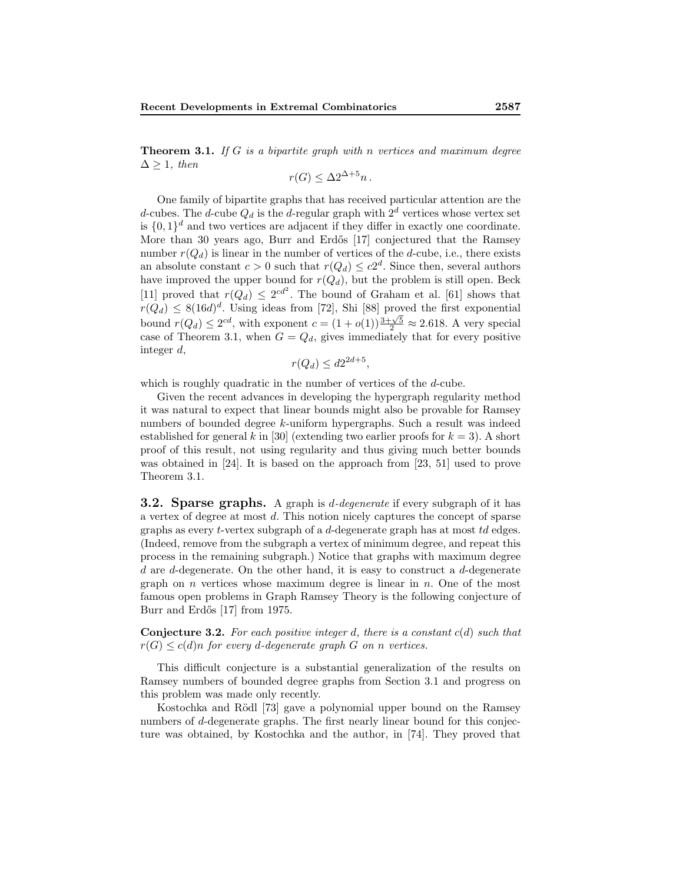**Theorem 3.1.** If G is a bipartite graph with n vertices and maximum degree  $\Delta \geq 1$ , then

$$
r(G) \le \Delta 2^{\Delta + 5} n \, .
$$

One family of bipartite graphs that has received particular attention are the d-cubes. The d-cube  $Q_d$  is the d-regular graph with  $2^d$  vertices whose vertex set is  $\{0,1\}^d$  and two vertices are adjacent if they differ in exactly one coordinate. More than 30 years ago, Burr and Erdős [17] conjectured that the Ramsey number  $r(Q_d)$  is linear in the number of vertices of the d-cube, i.e., there exists an absolute constant  $c > 0$  such that  $r(Q_d) \leq c2^d$ . Since then, several authors have improved the upper bound for  $r(Q_d)$ , but the problem is still open. Beck [11] proved that  $r(Q_d) \leq 2^{cd^2}$ . The bound of Graham et al. [61] shows that  $r(Q_d) \leq 8(16d)^d$ . Using ideas from [72], Shi [88] proved the first exponential bound  $r(Q_d) \leq 2^{cd}$ , with exponent  $c = (1 + o(1))\frac{3+\sqrt{5}}{2} \approx 2.618$ . A very special case of Theorem 3.1, when  $G = Q_d$ , gives immediately that for every positive integer d,

$$
r(Q_d) \le d2^{2d+5},
$$

which is roughly quadratic in the number of vertices of the d-cube.

Given the recent advances in developing the hypergraph regularity method it was natural to expect that linear bounds might also be provable for Ramsey numbers of bounded degree k-uniform hypergraphs. Such a result was indeed established for general k in [30] (extending two earlier proofs for  $k = 3$ ). A short proof of this result, not using regularity and thus giving much better bounds was obtained in [24]. It is based on the approach from [23, 51] used to prove Theorem 3.1.

**3.2. Sparse graphs.** A graph is *d*-degenerate if every subgraph of it has a vertex of degree at most d. This notion nicely captures the concept of sparse graphs as every t-vertex subgraph of a  $d$ -degenerate graph has at most  $td$  edges. (Indeed, remove from the subgraph a vertex of minimum degree, and repeat this process in the remaining subgraph.) Notice that graphs with maximum degree d are d-degenerate. On the other hand, it is easy to construct a d-degenerate graph on  $n$  vertices whose maximum degree is linear in  $n$ . One of the most famous open problems in Graph Ramsey Theory is the following conjecture of Burr and Erdős [17] from 1975.

**Conjecture 3.2.** For each positive integer d, there is a constant  $c(d)$  such that  $r(G) \leq c(d)n$  for every d-degenerate graph G on n vertices.

This difficult conjecture is a substantial generalization of the results on Ramsey numbers of bounded degree graphs from Section 3.1 and progress on this problem was made only recently.

Kostochka and Rödl [73] gave a polynomial upper bound on the Ramsey numbers of d-degenerate graphs. The first nearly linear bound for this conjecture was obtained, by Kostochka and the author, in [74]. They proved that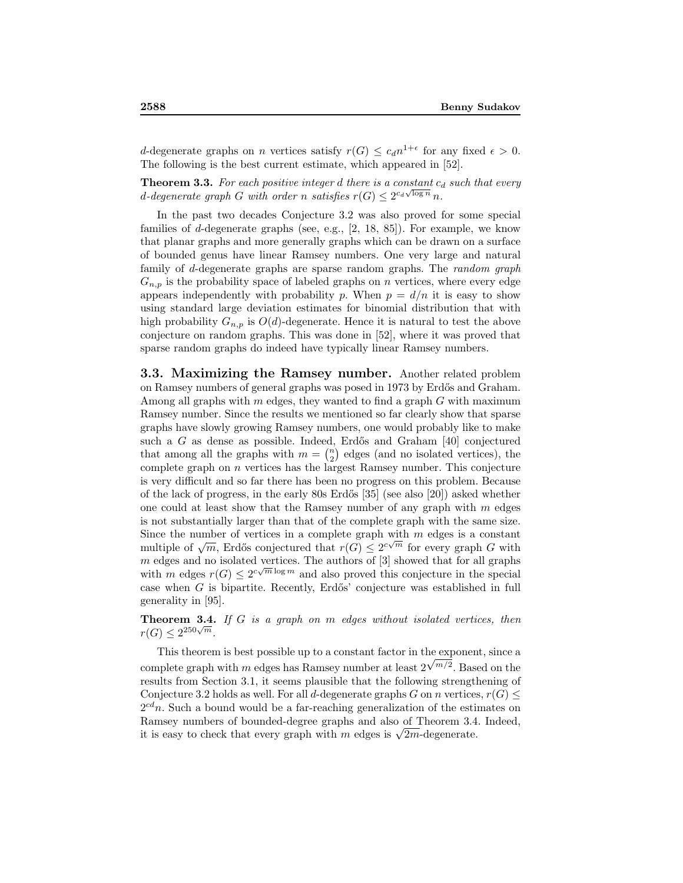d-degenerate graphs on *n* vertices satisfy  $r(G) \leq c_d n^{1+\epsilon}$  for any fixed  $\epsilon > 0$ . The following is the best current estimate, which appeared in [52].

**Theorem 3.3.** For each positive integer  $d$  there is a constant  $c_d$  such that every d-degenerate graph G with order n satisfies  $r(G) \leq 2^{c_d\sqrt{\log n}} n$ .

In the past two decades Conjecture 3.2 was also proved for some special families of d-degenerate graphs (see, e.g., [2, 18, 85]). For example, we know that planar graphs and more generally graphs which can be drawn on a surface of bounded genus have linear Ramsey numbers. One very large and natural family of d-degenerate graphs are sparse random graphs. The *random graph*  $G_{n,p}$  is the probability space of labeled graphs on n vertices, where every edge appears independently with probability p. When  $p = d/n$  it is easy to show using standard large deviation estimates for binomial distribution that with high probability  $G_{n,p}$  is  $O(d)$ -degenerate. Hence it is natural to test the above conjecture on random graphs. This was done in [52], where it was proved that sparse random graphs do indeed have typically linear Ramsey numbers.

3.3. Maximizing the Ramsey number. Another related problem on Ramsey numbers of general graphs was posed in 1973 by Erd˝os and Graham. Among all graphs with  $m$  edges, they wanted to find a graph  $G$  with maximum Ramsey number. Since the results we mentioned so far clearly show that sparse graphs have slowly growing Ramsey numbers, one would probably like to make such a  $G$  as dense as possible. Indeed, Erdős and Graham [40] conjectured that among all the graphs with  $m = \binom{n}{2}$  edges (and no isolated vertices), the complete graph on n vertices has the largest Ramsey number. This conjecture is very difficult and so far there has been no progress on this problem. Because of the lack of progress, in the early  $80s$  Erdős [35] (see also [20]) asked whether one could at least show that the Ramsey number of any graph with  $m$  edges is not substantially larger than that of the complete graph with the same size. Since the number of vertices in a complete graph with  $m$  edges is a constant multiple of  $\sqrt{m}$ , Erdős conjectured that  $r(G) \leq 2^{c\sqrt{m}}$  for every graph G with  $m$  edges and no isolated vertices. The authors of  $[3]$  showed that for all graphs with m edges  $r(G) \leq 2^{c\sqrt{m}\log m}$  and also proved this conjecture in the special case when  $G$  is bipartite. Recently, Erdős' conjecture was established in full generality in [95].

**Theorem 3.4.** If G is a graph on  $m$  edges without isolated vertices, then  $r(G) \leq 2^{250\sqrt{m}}.$ 

This theorem is best possible up to a constant factor in the exponent, since a complete graph with m edges has Ramsey number at least  $2^{\sqrt{m/2}}$ . Based on the results from Section 3.1, it seems plausible that the following strengthening of Conjecture 3.2 holds as well. For all d-degenerate graphs G on n vertices,  $r(G)$  $2<sup>cd</sup>n$ . Such a bound would be a far-reaching generalization of the estimates on Ramsey numbers of bounded-degree graphs and also of Theorem 3.4. Indeed, it is easy to check that every graph with m edges is  $\sqrt{2m}$ -degenerate.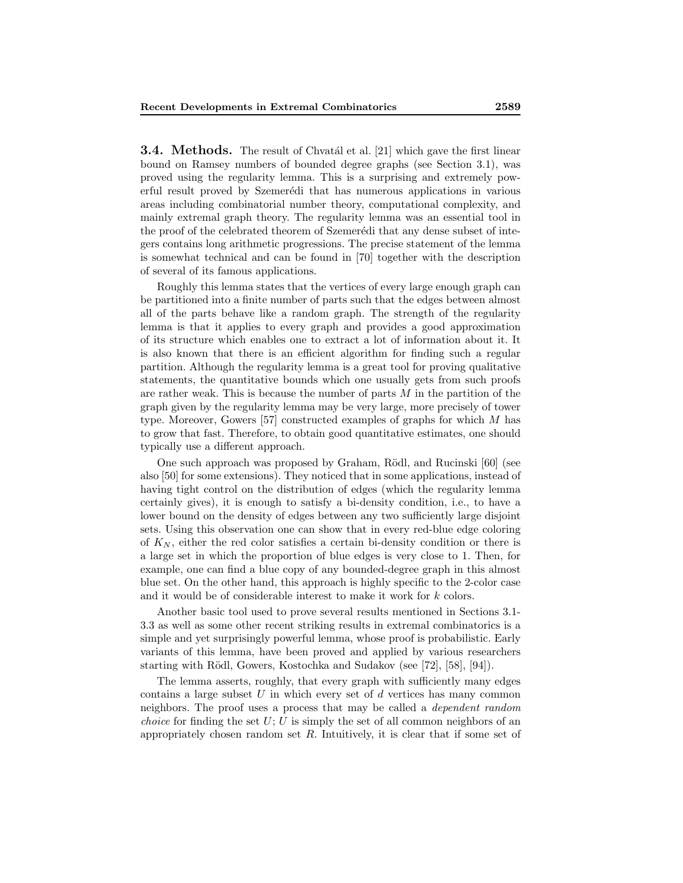**3.4. Methods.** The result of Chvatál et al. [21] which gave the first linear bound on Ramsey numbers of bounded degree graphs (see Section 3.1), was proved using the regularity lemma. This is a surprising and extremely powerful result proved by Szemerédi that has numerous applications in various areas including combinatorial number theory, computational complexity, and mainly extremal graph theory. The regularity lemma was an essential tool in the proof of the celebrated theorem of Szemerédi that any dense subset of integers contains long arithmetic progressions. The precise statement of the lemma is somewhat technical and can be found in [70] together with the description of several of its famous applications.

Roughly this lemma states that the vertices of every large enough graph can be partitioned into a finite number of parts such that the edges between almost all of the parts behave like a random graph. The strength of the regularity lemma is that it applies to every graph and provides a good approximation of its structure which enables one to extract a lot of information about it. It is also known that there is an efficient algorithm for finding such a regular partition. Although the regularity lemma is a great tool for proving qualitative statements, the quantitative bounds which one usually gets from such proofs are rather weak. This is because the number of parts  $M$  in the partition of the graph given by the regularity lemma may be very large, more precisely of tower type. Moreover, Gowers [57] constructed examples of graphs for which  $M$  has to grow that fast. Therefore, to obtain good quantitative estimates, one should typically use a different approach.

One such approach was proposed by Graham, Rödl, and Rucinski [60] (see also [50] for some extensions). They noticed that in some applications, instead of having tight control on the distribution of edges (which the regularity lemma certainly gives), it is enough to satisfy a bi-density condition, i.e., to have a lower bound on the density of edges between any two sufficiently large disjoint sets. Using this observation one can show that in every red-blue edge coloring of  $K_N$ , either the red color satisfies a certain bi-density condition or there is a large set in which the proportion of blue edges is very close to 1. Then, for example, one can find a blue copy of any bounded-degree graph in this almost blue set. On the other hand, this approach is highly specific to the 2-color case and it would be of considerable interest to make it work for k colors.

Another basic tool used to prove several results mentioned in Sections 3.1- 3.3 as well as some other recent striking results in extremal combinatorics is a simple and yet surprisingly powerful lemma, whose proof is probabilistic. Early variants of this lemma, have been proved and applied by various researchers starting with Rödl, Gowers, Kostochka and Sudakov (see [72], [58], [94]).

The lemma asserts, roughly, that every graph with sufficiently many edges contains a large subset  $U$  in which every set of  $d$  vertices has many common neighbors. The proof uses a process that may be called a *dependent random choice* for finding the set  $U$ ;  $U$  is simply the set of all common neighbors of an appropriately chosen random set  $R$ . Intuitively, it is clear that if some set of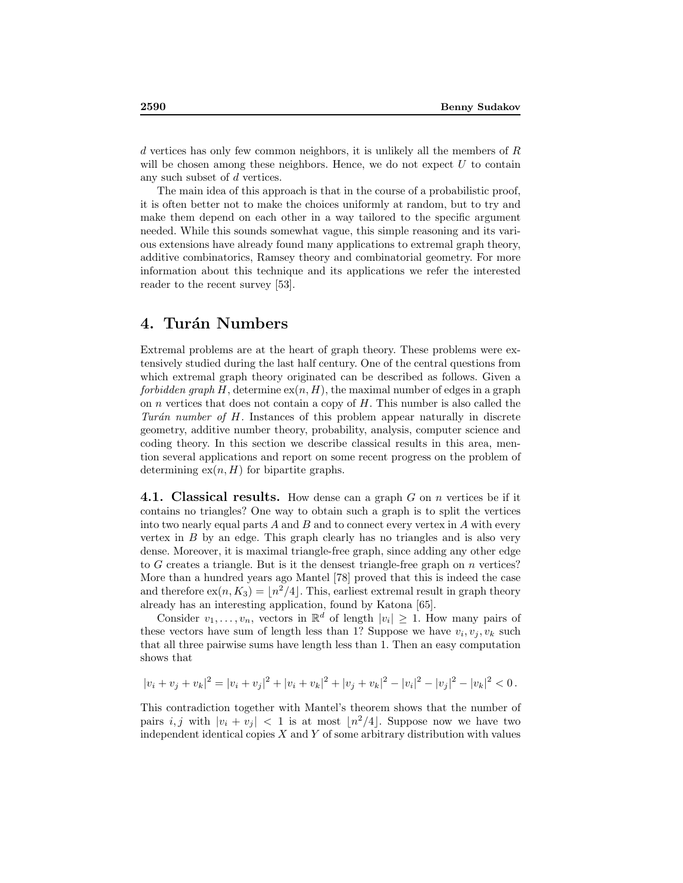$d$  vertices has only few common neighbors, it is unlikely all the members of  $R$ will be chosen among these neighbors. Hence, we do not expect  $U$  to contain any such subset of d vertices.

The main idea of this approach is that in the course of a probabilistic proof, it is often better not to make the choices uniformly at random, but to try and make them depend on each other in a way tailored to the specific argument needed. While this sounds somewhat vague, this simple reasoning and its various extensions have already found many applications to extremal graph theory, additive combinatorics, Ramsey theory and combinatorial geometry. For more information about this technique and its applications we refer the interested reader to the recent survey [53].

### 4. Turán Numbers

Extremal problems are at the heart of graph theory. These problems were extensively studied during the last half century. One of the central questions from which extremal graph theory originated can be described as follows. Given a forbidden graph H, determine  $ex(n, H)$ , the maximal number of edges in a graph on  $n$  vertices that does not contain a copy of  $H$ . This number is also called the Turán number of  $H$ . Instances of this problem appear naturally in discrete geometry, additive number theory, probability, analysis, computer science and coding theory. In this section we describe classical results in this area, mention several applications and report on some recent progress on the problem of determining  $ex(n, H)$  for bipartite graphs.

**4.1. Classical results.** How dense can a graph G on n vertices be if it contains no triangles? One way to obtain such a graph is to split the vertices into two nearly equal parts  $A$  and  $B$  and to connect every vertex in  $A$  with every vertex in  $B$  by an edge. This graph clearly has no triangles and is also very dense. Moreover, it is maximal triangle-free graph, since adding any other edge to G creates a triangle. But is it the densest triangle-free graph on  $n$  vertices? More than a hundred years ago Mantel [78] proved that this is indeed the case and therefore  $ex(n, K_3) = \lfloor n^2/4 \rfloor$ . This, earliest extremal result in graph theory already has an interesting application, found by Katona [65].

Consider  $v_1, \ldots, v_n$ , vectors in  $\mathbb{R}^d$  of length  $|v_i| \geq 1$ . How many pairs of these vectors have sum of length less than 1? Suppose we have  $v_i, v_j, v_k$  such that all three pairwise sums have length less than 1. Then an easy computation shows that

$$
|v_i + v_j + v_k|^2 = |v_i + v_j|^2 + |v_i + v_k|^2 + |v_j + v_k|^2 - |v_i|^2 - |v_j|^2 - |v_k|^2 < 0.
$$

This contradiction together with Mantel's theorem shows that the number of pairs *i, j* with  $|v_i + v_j| < 1$  is at most  $\lfloor n^2/4 \rfloor$ . Suppose now we have two independent identical copies  $X$  and  $Y$  of some arbitrary distribution with values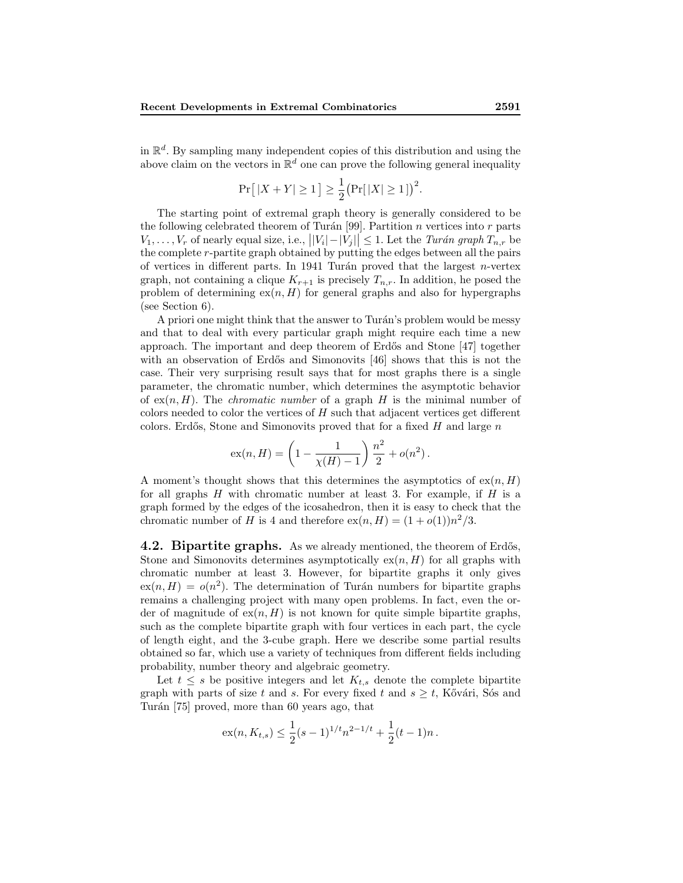in  $\mathbb{R}^d$ . By sampling many independent copies of this distribution and using the above claim on the vectors in  $\mathbb{R}^d$  one can prove the following general inequality

$$
Pr[ |X + Y| \ge 1 ] \ge \frac{1}{2} (Pr[ |X| \ge 1 ] )^{2}.
$$

The starting point of extremal graph theory is generally considered to be the following celebrated theorem of Turán [99]. Partition n vertices into  $r$  parts  $V_1, \ldots, V_r$  of nearly equal size, i.e.,  $||V_i| - |V_j|| \leq 1$ . Let the *Turán graph*  $T_{n,r}$  be the complete r-partite graph obtained by putting the edges between all the pairs of vertices in different parts. In 1941 Turán proved that the largest n-vertex graph, not containing a clique  $K_{r+1}$  is precisely  $T_{n,r}$ . In addition, he posed the problem of determining  $ex(n, H)$  for general graphs and also for hypergraphs (see Section 6).

A priori one might think that the answer to Turán's problem would be messy and that to deal with every particular graph might require each time a new approach. The important and deep theorem of Erdős and Stone [47] together with an observation of Erdős and Simonovits [46] shows that this is not the case. Their very surprising result says that for most graphs there is a single parameter, the chromatic number, which determines the asymptotic behavior of  $ex(n, H)$ . The *chromatic number* of a graph H is the minimal number of colors needed to color the vertices of  $H$  such that adjacent vertices get different colors. Erdős, Stone and Simonovits proved that for a fixed  $H$  and large  $n$ 

$$
ex(n, H) = \left(1 - \frac{1}{\chi(H) - 1}\right) \frac{n^2}{2} + o(n^2).
$$

A moment's thought shows that this determines the asymptotics of  $ex(n, H)$ for all graphs  $H$  with chromatic number at least 3. For example, if  $H$  is a graph formed by the edges of the icosahedron, then it is easy to check that the chromatic number of H is 4 and therefore  $ex(n, H) = (1 + o(1))n^2/3$ .

**4.2. Bipartite graphs.** As we already mentioned, the theorem of Erdős, Stone and Simonovits determines asymptotically  $ex(n, H)$  for all graphs with chromatic number at least 3. However, for bipartite graphs it only gives  $ex(n, H) = o(n^2)$ . The determination of Turán numbers for bipartite graphs remains a challenging project with many open problems. In fact, even the order of magnitude of  $ex(n, H)$  is not known for quite simple bipartite graphs, such as the complete bipartite graph with four vertices in each part, the cycle of length eight, and the 3-cube graph. Here we describe some partial results obtained so far, which use a variety of techniques from different fields including probability, number theory and algebraic geometry.

Let  $t \leq s$  be positive integers and let  $K_{t,s}$  denote the complete bipartite graph with parts of size t and s. For every fixed t and  $s \geq t$ , Kővári, Sós and Turán  $[75]$  proved, more than 60 years ago, that

$$
\mathrm{ex}(n, K_{t,s}) \leq \frac{1}{2}(s-1)^{1/t}n^{2-1/t} + \frac{1}{2}(t-1)n.
$$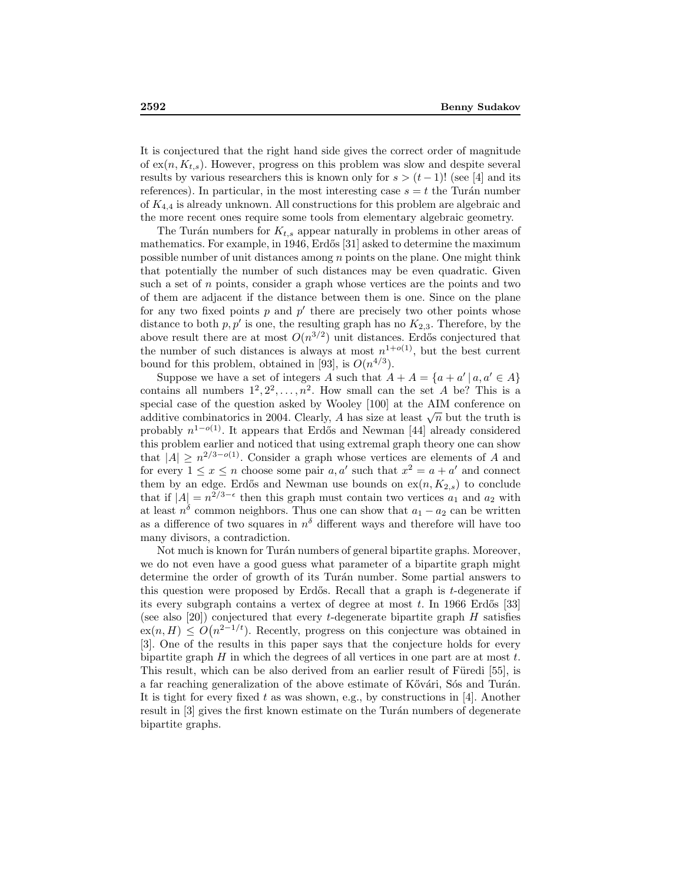It is conjectured that the right hand side gives the correct order of magnitude of  $ex(n, K_{t,s})$ . However, progress on this problem was slow and despite several results by various researchers this is known only for  $s > (t-1)!$  (see [4] and its references). In particular, in the most interesting case  $s = t$  the Turán number of  $K_{4,4}$  is already unknown. All constructions for this problem are algebraic and the more recent ones require some tools from elementary algebraic geometry.

The Turán numbers for  $K_{t,s}$  appear naturally in problems in other areas of mathematics. For example, in 1946, Erdős [31] asked to determine the maximum possible number of unit distances among  $n$  points on the plane. One might think that potentially the number of such distances may be even quadratic. Given such a set of n points, consider a graph whose vertices are the points and two of them are adjacent if the distance between them is one. Since on the plane for any two fixed points  $p$  and  $p'$  there are precisely two other points whose distance to both  $p, p'$  is one, the resulting graph has no  $K_{2,3}$ . Therefore, by the above result there are at most  $O(n^{3/2})$  unit distances. Erdős conjectured that the number of such distances is always at most  $n^{1+o(1)}$ , but the best current bound for this problem, obtained in [93], is  $O(n^{4/3})$ .

Suppose we have a set of integers A such that  $A + A = \{a + a' \mid a, a' \in A\}$ contains all numbers  $1^2, 2^2, \ldots, n^2$ . How small can the set A be? This is a special case of the question asked by Wooley [100] at the AIM conference on additive combinatorics in 2004. Clearly, A has size at least  $\sqrt{n}$  but the truth is probably  $n^{1-o(1)}$ . It appears that Erdős and Newman [44] already considered this problem earlier and noticed that using extremal graph theory one can show that  $|A| \geq n^{2/3-o(1)}$ . Consider a graph whose vertices are elements of A and for every  $1 \le x \le n$  choose some pair  $a, a'$  such that  $x^2 = a + a'$  and connect them by an edge. Erdős and Newman use bounds on  $ex(n, K_{2,s})$  to conclude that if  $|A| = n^{2/3 - \epsilon}$  then this graph must contain two vertices  $a_1$  and  $a_2$  with at least  $n^{\delta}$  common neighbors. Thus one can show that  $a_1 - a_2$  can be written as a difference of two squares in  $n^{\delta}$  different ways and therefore will have too many divisors, a contradiction.

Not much is known for Turán numbers of general bipartite graphs. Moreover, we do not even have a good guess what parameter of a bipartite graph might determine the order of growth of its Turán number. Some partial answers to this question were proposed by Erd˝os. Recall that a graph is t-degenerate if its every subgraph contains a vertex of degree at most  $t$ . In 1966 Erdős [33] (see also [20]) conjectured that every t-degenerate bipartite graph  $H$  satisfies  $\operatorname{ex}(n, H) \le O(n^{2-1/t})$ . Recently, progress on this conjecture was obtained in [3]. One of the results in this paper says that the conjecture holds for every bipartite graph  $H$  in which the degrees of all vertices in one part are at most  $t$ . This result, which can be also derived from an earlier result of Füredi [55], is a far reaching generalization of the above estimate of Kővári, Sós and Turán. It is tight for every fixed t as was shown, e.g., by constructions in [4]. Another result in [3] gives the first known estimate on the Turán numbers of degenerate bipartite graphs.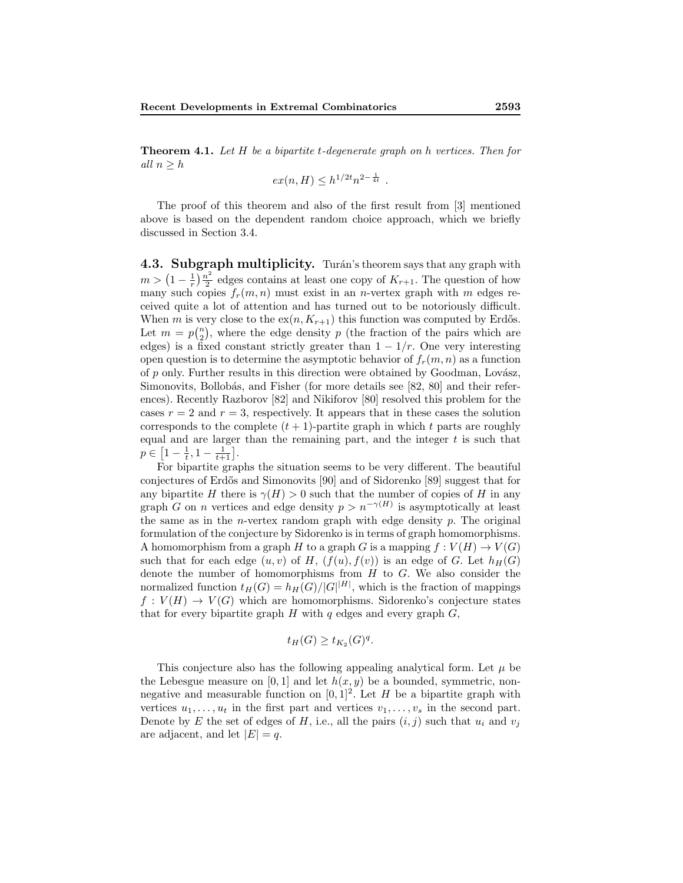**Theorem 4.1.** Let  $H$  be a bipartite t-degenerate graph on h vertices. Then for all  $n \geq h$ 

$$
ex(n, H) \leq h^{1/2t} n^{2 - \frac{1}{4t}}
$$
.

The proof of this theorem and also of the first result from [3] mentioned above is based on the dependent random choice approach, which we briefly discussed in Section 3.4.

**4.3. Subgraph multiplicity.** Turán's theorem says that any graph with  $m > (1 - \frac{1}{r})\frac{n^2}{2}$  $\frac{n^2}{2}$  edges contains at least one copy of  $K_{r+1}$ . The question of how many such copies  $f_r(m, n)$  must exist in an *n*-vertex graph with m edges received quite a lot of attention and has turned out to be notoriously difficult. When m is very close to the  $ex(n, K_{r+1})$  this function was computed by Erdős. Let  $m = p{n \choose 2}$ , where the edge density p (the fraction of the pairs which are edges) is a fixed constant strictly greater than  $1 - 1/r$ . One very interesting open question is to determine the asymptotic behavior of  $f_r(m, n)$  as a function of  $p$  only. Further results in this direction were obtained by Goodman, Lovász, Simonovits, Bollobás, and Fisher (for more details see [82, 80] and their references). Recently Razborov [82] and Nikiforov [80] resolved this problem for the cases  $r = 2$  and  $r = 3$ , respectively. It appears that in these cases the solution corresponds to the complete  $(t + 1)$ -partite graph in which t parts are roughly equal and are larger than the remaining part, and the integer  $t$  is such that  $p \in \left[1 - \frac{1}{t}, 1 - \frac{1}{t+1}\right].$ 

For bipartite graphs the situation seems to be very different. The beautiful conjectures of Erd˝os and Simonovits [90] and of Sidorenko [89] suggest that for any bipartite H there is  $\gamma(H) > 0$  such that the number of copies of H in any graph G on n vertices and edge density  $p > n^{-\gamma(H)}$  is asymptotically at least the same as in the *n*-vertex random graph with edge density  $p$ . The original formulation of the conjecture by Sidorenko is in terms of graph homomorphisms. A homomorphism from a graph H to a graph G is a mapping  $f: V(H) \to V(G)$ such that for each edge  $(u, v)$  of H,  $(f(u), f(v))$  is an edge of G. Let  $h_H(G)$ denote the number of homomorphisms from  $H$  to  $G$ . We also consider the normalized function  $t_H(G) = h_H(G)/|G|^{|H|}$ , which is the fraction of mappings  $f: V(H) \to V(G)$  which are homomorphisms. Sidorenko's conjecture states that for every bipartite graph  $H$  with  $q$  edges and every graph  $G$ ,

$$
t_H(G) \ge t_{K_2}(G)^q.
$$

This conjecture also has the following appealing analytical form. Let  $\mu$  be the Lebesgue measure on [0, 1] and let  $h(x, y)$  be a bounded, symmetric, nonnegative and measurable function on  $[0,1]^2$ . Let H be a bipartite graph with vertices  $u_1, \ldots, u_t$  in the first part and vertices  $v_1, \ldots, v_s$  in the second part. Denote by E the set of edges of H, i.e., all the pairs  $(i, j)$  such that  $u_i$  and  $v_j$ are adjacent, and let  $|E| = q$ .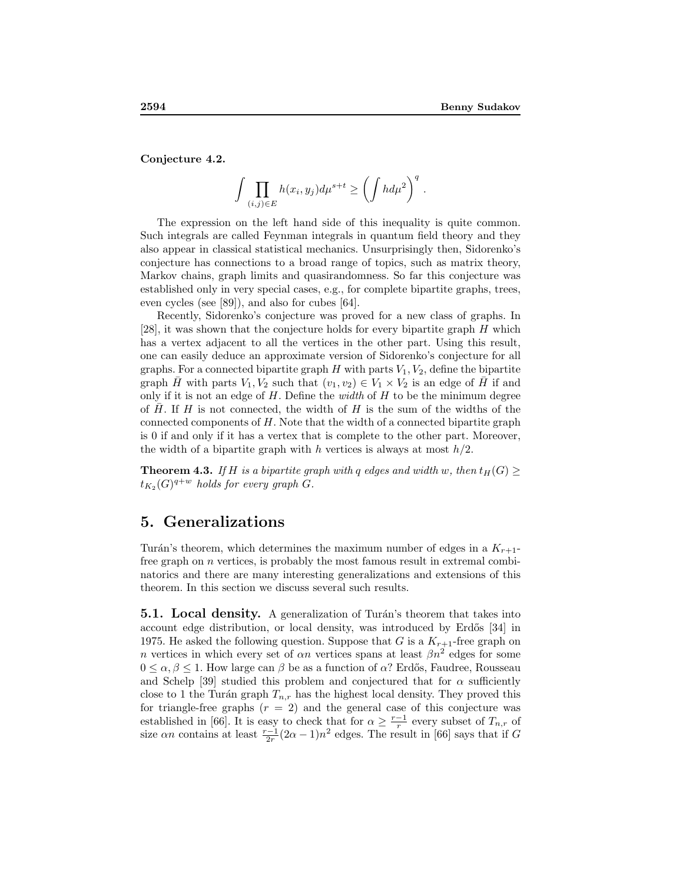Conjecture 4.2.

$$
\int \prod_{(i,j)\in E} h(x_i, y_j) d\mu^{s+t} \ge \left(\int h d\mu^2\right)^q.
$$

The expression on the left hand side of this inequality is quite common. Such integrals are called Feynman integrals in quantum field theory and they also appear in classical statistical mechanics. Unsurprisingly then, Sidorenko's conjecture has connections to a broad range of topics, such as matrix theory, Markov chains, graph limits and quasirandomness. So far this conjecture was established only in very special cases, e.g., for complete bipartite graphs, trees, even cycles (see [89]), and also for cubes [64].

Recently, Sidorenko's conjecture was proved for a new class of graphs. In [28], it was shown that the conjecture holds for every bipartite graph  $H$  which has a vertex adjacent to all the vertices in the other part. Using this result, one can easily deduce an approximate version of Sidorenko's conjecture for all graphs. For a connected bipartite graph  $H$  with parts  $V_1, V_2$ , define the bipartite graph H with parts  $V_1, V_2$  such that  $(v_1, v_2) \in V_1 \times V_2$  is an edge of H if and only if it is not an edge of  $H$ . Define the *width* of  $H$  to be the minimum degree of  $\overline{H}$ . If H is not connected, the width of H is the sum of the widths of the connected components of H. Note that the width of a connected bipartite graph is 0 if and only if it has a vertex that is complete to the other part. Moreover, the width of a bipartite graph with h vertices is always at most  $h/2$ .

**Theorem 4.3.** If H is a bipartite graph with q edges and width w, then  $t_H(G) \geq$  $t_{K_2}(G)^{q+w}$  holds for every graph  $G$ .

#### 5. Generalizations

Turán's theorem, which determines the maximum number of edges in a  $K_{r+1}$ free graph on  $n$  vertices, is probably the most famous result in extremal combinatorics and there are many interesting generalizations and extensions of this theorem. In this section we discuss several such results.

**5.1. Local density.** A generalization of Turán's theorem that takes into account edge distribution, or local density, was introduced by Erdős [34] in 1975. He asked the following question. Suppose that G is a  $K_{r+1}$ -free graph on n vertices in which every set of  $\alpha n$  vertices spans at least  $\beta n^2$  edges for some  $0 \leq \alpha, \beta \leq 1$ . How large can  $\beta$  be as a function of  $\alpha$ ? Erdős, Faudree, Rousseau and Schelp [39] studied this problem and conjectured that for  $\alpha$  sufficiently close to 1 the Turán graph  $T_{n,r}$  has the highest local density. They proved this for triangle-free graphs  $(r = 2)$  and the general case of this conjecture was established in [66]. It is easy to check that for  $\alpha \geq \frac{r-1}{r}$  every subset of  $T_{n,r}$  of size  $\alpha n$  contains at least  $\frac{r-1}{2r}(2\alpha-1)n^2$  edges. The result in [66] says that if G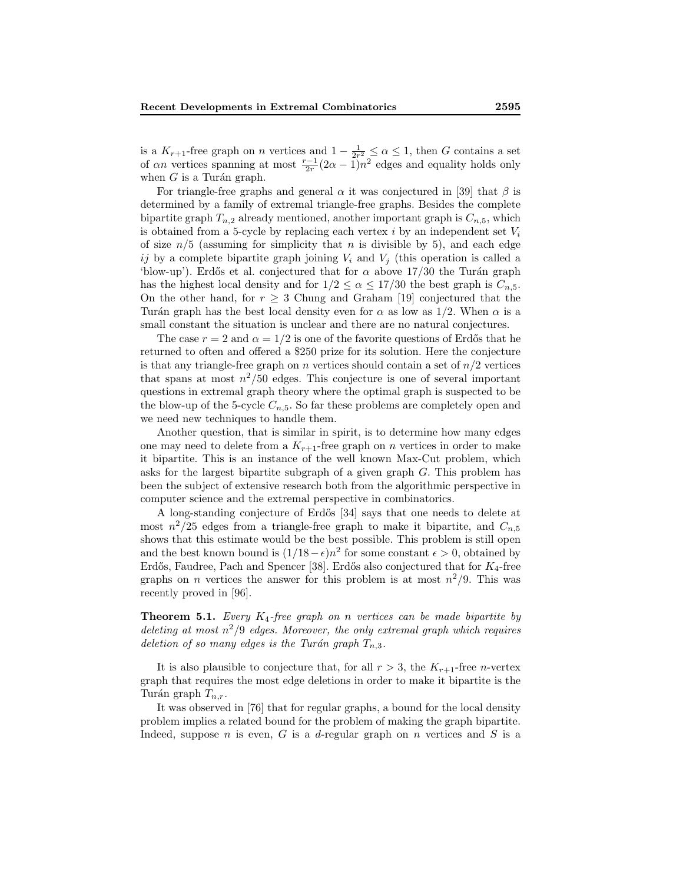is a  $K_{r+1}$ -free graph on *n* vertices and  $1 - \frac{1}{2r^2} \le \alpha \le 1$ , then G contains a set of an vertices spanning at most  $\frac{r-1}{2r}(2\alpha - \tilde{1})n^2$  edges and equality holds only when  $G$  is a Turán graph.

For triangle-free graphs and general  $\alpha$  it was conjectured in [39] that  $\beta$  is determined by a family of extremal triangle-free graphs. Besides the complete bipartite graph  $T_{n,2}$  already mentioned, another important graph is  $C_{n,5}$ , which is obtained from a 5-cycle by replacing each vertex i by an independent set  $V_i$ of size  $n/5$  (assuming for simplicity that n is divisible by 5), and each edge ij by a complete bipartite graph joining  $V_i$  and  $V_j$  (this operation is called a 'blow-up'). Erdős et al. conjectured that for  $\alpha$  above 17/30 the Turán graph has the highest local density and for  $1/2 \le \alpha \le 17/30$  the best graph is  $C_{n,5}$ . On the other hand, for  $r \geq 3$  Chung and Graham [19] conjectured that the Turán graph has the best local density even for  $\alpha$  as low as 1/2. When  $\alpha$  is a small constant the situation is unclear and there are no natural conjectures.

The case  $r = 2$  and  $\alpha = 1/2$  is one of the favorite questions of Erdős that he returned to often and offered a \$250 prize for its solution. Here the conjecture is that any triangle-free graph on n vertices should contain a set of  $n/2$  vertices that spans at most  $n^2/50$  edges. This conjecture is one of several important questions in extremal graph theory where the optimal graph is suspected to be the blow-up of the 5-cycle  $C_{n,5}$ . So far these problems are completely open and we need new techniques to handle them.

Another question, that is similar in spirit, is to determine how many edges one may need to delete from a  $K_{r+1}$ -free graph on n vertices in order to make it bipartite. This is an instance of the well known Max-Cut problem, which asks for the largest bipartite subgraph of a given graph G. This problem has been the subject of extensive research both from the algorithmic perspective in computer science and the extremal perspective in combinatorics.

A long-standing conjecture of Erdős [34] says that one needs to delete at most  $n^2/25$  edges from a triangle-free graph to make it bipartite, and  $C_{n,5}$ shows that this estimate would be the best possible. This problem is still open and the best known bound is  $(1/18 - \epsilon)n^2$  for some constant  $\epsilon > 0$ , obtained by Erdős, Faudree, Pach and Spencer [38]. Erdős also conjectured that for  $K_4$ -free graphs on *n* vertices the answer for this problem is at most  $n^2/9$ . This was recently proved in [96].

**Theorem 5.1.** Every  $K_4$ -free graph on n vertices can be made bipartite by deleting at most  $n^2/9$  edges. Moreover, the only extremal graph which requires deletion of so many edges is the Turán graph  $T_{n,3}$ .

It is also plausible to conjecture that, for all  $r > 3$ , the  $K_{r+1}$ -free *n*-vertex graph that requires the most edge deletions in order to make it bipartite is the Turán graph  $T_{n,r}$ .

It was observed in [76] that for regular graphs, a bound for the local density problem implies a related bound for the problem of making the graph bipartite. Indeed, suppose  $n$  is even,  $G$  is a d-regular graph on  $n$  vertices and  $S$  is a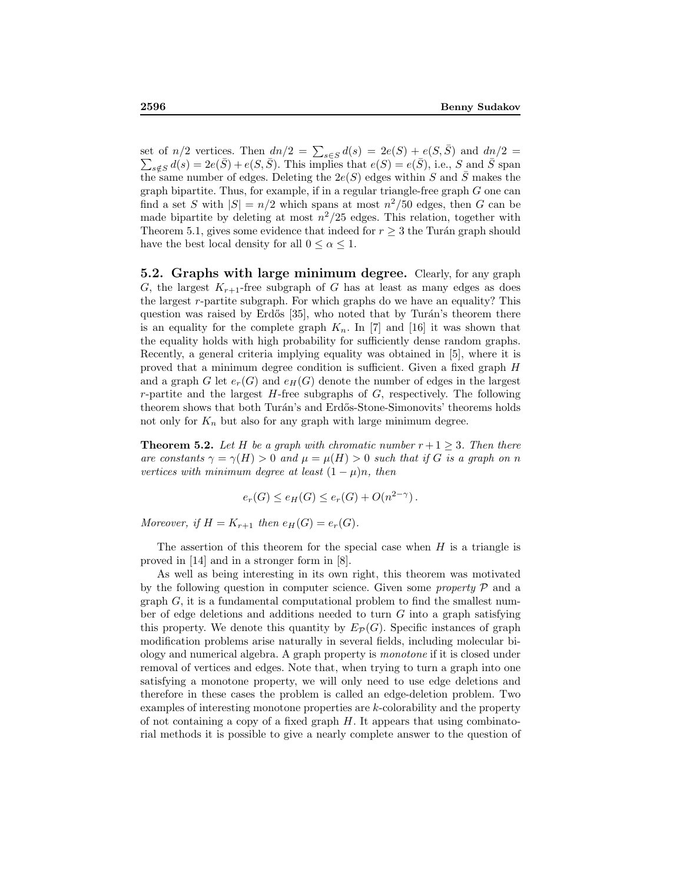set of  $n/2$  vertices. Then  $dn/2 = \sum_{s \in S} d(s) = 2e(S) + e(S, \overline{S})$  $\sum$ ) and  $dn/2 =$  $s \notin S$   $d(s) = 2e(\bar{S}) + e(S, \bar{S})$ . This implies that  $e(S) = e(\bar{S})$ , i.e., S and  $\bar{S}$  span the same number of edges. Deleting the  $2e(S)$  edges within S and  $\overline{S}$  makes the graph bipartite. Thus, for example, if in a regular triangle-free graph  $G$  one can find a set S with  $|S| = n/2$  which spans at most  $n^2/50$  edges, then G can be made bipartite by deleting at most  $n^2/25$  edges. This relation, together with Theorem 5.1, gives some evidence that indeed for  $r \geq 3$  the Turán graph should have the best local density for all  $0 \leq \alpha \leq 1$ .

5.2. Graphs with large minimum degree. Clearly, for any graph G, the largest  $K_{r+1}$ -free subgraph of G has at least as many edges as does the largest r-partite subgraph. For which graphs do we have an equality? This question was raised by Erdős  $[35]$ , who noted that by Turán's theorem there is an equality for the complete graph  $K_n$ . In [7] and [16] it was shown that the equality holds with high probability for sufficiently dense random graphs. Recently, a general criteria implying equality was obtained in [5], where it is proved that a minimum degree condition is sufficient. Given a fixed graph H and a graph G let  $e_r(G)$  and  $e_H(G)$  denote the number of edges in the largest  $r$ -partite and the largest  $H$ -free subgraphs of  $G$ , respectively. The following theorem shows that both Turán's and Erdős-Stone-Simonovits' theorems holds not only for  $K_n$  but also for any graph with large minimum degree.

**Theorem 5.2.** Let H be a graph with chromatic number  $r + 1 \geq 3$ . Then there are constants  $\gamma = \gamma(H) > 0$  and  $\mu = \mu(H) > 0$  such that if G is a graph on n vertices with minimum degree at least  $(1 - \mu)n$ , then

$$
e_r(G) \le e_H(G) \le e_r(G) + O(n^{2-\gamma}).
$$

Moreover, if  $H = K_{r+1}$  then  $e_H(G) = e_r(G)$ .

The assertion of this theorem for the special case when  $H$  is a triangle is proved in [14] and in a stronger form in [8].

As well as being interesting in its own right, this theorem was motivated by the following question in computer science. Given some *property*  $P$  and a  $graph G$ , it is a fundamental computational problem to find the smallest number of edge deletions and additions needed to turn G into a graph satisfying this property. We denote this quantity by  $E_{\mathcal{P}}(G)$ . Specific instances of graph modification problems arise naturally in several fields, including molecular biology and numerical algebra. A graph property is monotone if it is closed under removal of vertices and edges. Note that, when trying to turn a graph into one satisfying a monotone property, we will only need to use edge deletions and therefore in these cases the problem is called an edge-deletion problem. Two examples of interesting monotone properties are k-colorability and the property of not containing a copy of a fixed graph  $H$ . It appears that using combinatorial methods it is possible to give a nearly complete answer to the question of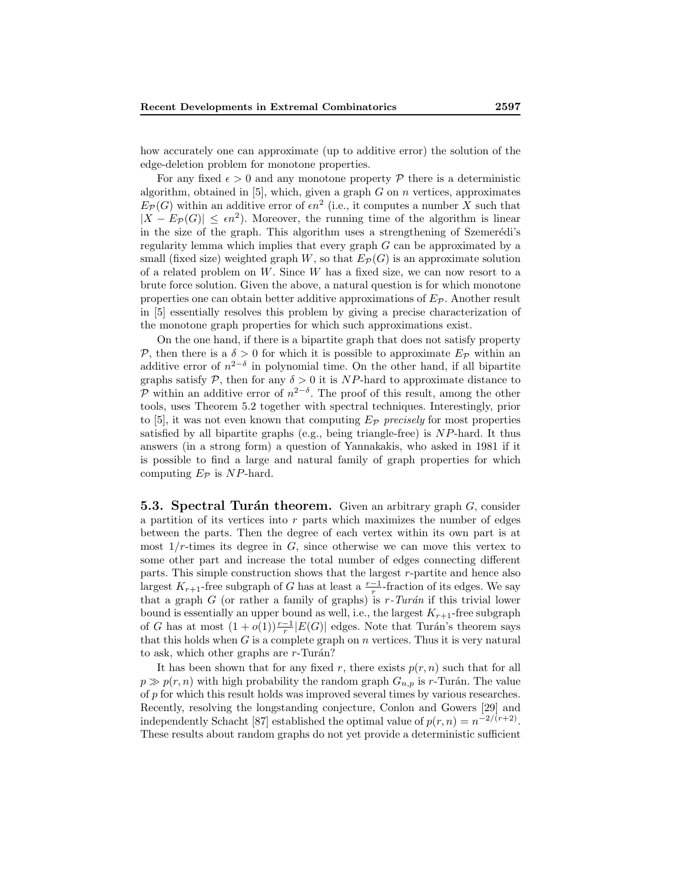how accurately one can approximate (up to additive error) the solution of the edge-deletion problem for monotone properties.

For any fixed  $\epsilon > 0$  and any monotone property P there is a deterministic algorithm, obtained in  $[5]$ , which, given a graph G on n vertices, approximates  $E_{\mathcal{P}}(G)$  within an additive error of  $\epsilon n^2$  (i.e., it computes a number X such that  $|X - E_{\mathcal{P}}(G)| \leq \epsilon n^2$ . Moreover, the running time of the algorithm is linear in the size of the graph. This algorithm uses a strengthening of Szemerédi's regularity lemma which implies that every graph G can be approximated by a small (fixed size) weighted graph W, so that  $E_{\mathcal{P}}(G)$  is an approximate solution of a related problem on  $W$ . Since  $W$  has a fixed size, we can now resort to a brute force solution. Given the above, a natural question is for which monotone properties one can obtain better additive approximations of  $E_{\mathcal{P}}$ . Another result in [5] essentially resolves this problem by giving a precise characterization of the monotone graph properties for which such approximations exist.

On the one hand, if there is a bipartite graph that does not satisfy property P, then there is a  $\delta > 0$  for which it is possible to approximate  $E_{\mathcal{P}}$  within an additive error of  $n^{2-\delta}$  in polynomial time. On the other hand, if all bipartite graphs satisfy P, then for any  $\delta > 0$  it is NP-hard to approximate distance to P within an additive error of  $n^{2-\delta}$ . The proof of this result, among the other tools, uses Theorem 5.2 together with spectral techniques. Interestingly, prior to [5], it was not even known that computing  $E_{\mathcal{P}}$  precisely for most properties satisfied by all bipartite graphs (e.g., being triangle-free) is  $NP$ -hard. It thus answers (in a strong form) a question of Yannakakis, who asked in 1981 if it is possible to find a large and natural family of graph properties for which computing  $E_{\mathcal{P}}$  is NP-hard.

**5.3. Spectral Turán theorem.** Given an arbitrary graph  $G$ , consider a partition of its vertices into  $r$  parts which maximizes the number of edges between the parts. Then the degree of each vertex within its own part is at most  $1/r$ -times its degree in G, since otherwise we can move this vertex to some other part and increase the total number of edges connecting different parts. This simple construction shows that the largest r-partite and hence also largest  $K_{r+1}$ -free subgraph of G has at least a  $\frac{r-1}{r}$ -fraction of its edges. We say that a graph  $G$  (or rather a family of graphs) is  $r$ -Turán if this trivial lower bound is essentially an upper bound as well, i.e., the largest  $K_{r+1}$ -free subgraph of G has at most  $(1+o(1))\frac{r-1}{r}|E(G)|$  edges. Note that Turán's theorem says that this holds when  $G$  is a complete graph on  $n$  vertices. Thus it is very natural to ask, which other graphs are  $r$ -Turán?

It has been shown that for any fixed r, there exists  $p(r, n)$  such that for all  $p \gg p(r, n)$  with high probability the random graph  $G_{n,p}$  is r-Turán. The value of  $p$  for which this result holds was improved several times by various researches. Recently, resolving the longstanding conjecture, Conlon and Gowers [29] and independently Schacht [87] established the optimal value of  $p(r, n) = n^{-2/(r+2)}$ . These results about random graphs do not yet provide a deterministic sufficient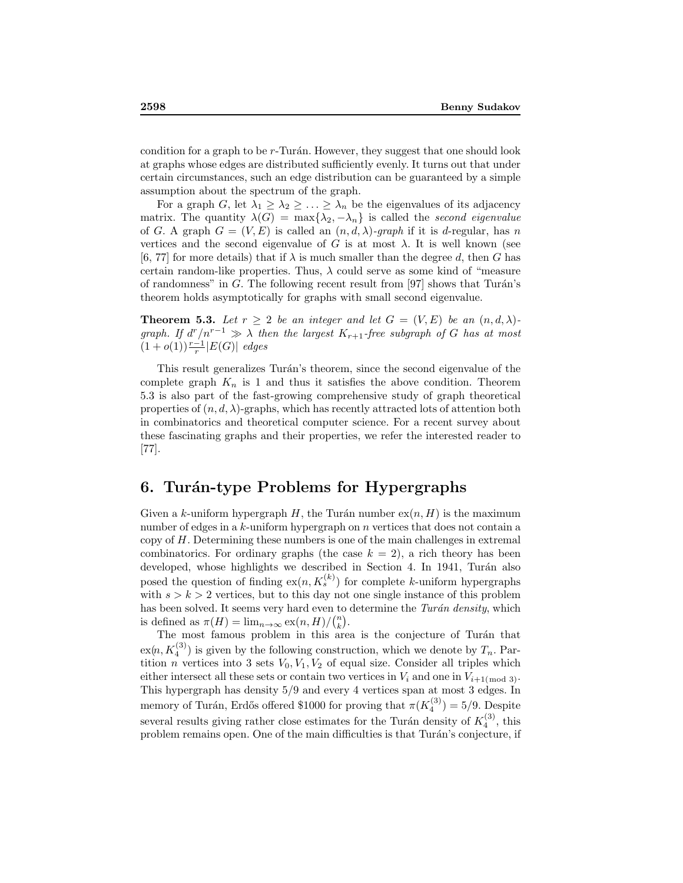condition for a graph to be  $r$ -Turán. However, they suggest that one should look at graphs whose edges are distributed sufficiently evenly. It turns out that under certain circumstances, such an edge distribution can be guaranteed by a simple assumption about the spectrum of the graph.

For a graph G, let  $\lambda_1 \geq \lambda_2 \geq \ldots \geq \lambda_n$  be the eigenvalues of its adjacency matrix. The quantity  $\lambda(G) = \max{\lambda_2, -\lambda_n}$  is called the second eigenvalue of G. A graph  $G = (V, E)$  is called an  $(n, d, \lambda)$ -graph if it is d-regular, has n vertices and the second eigenvalue of G is at most  $\lambda$ . It is well known (see [6, 77] for more details) that if  $\lambda$  is much smaller than the degree d, then G has certain random-like properties. Thus,  $\lambda$  could serve as some kind of "measure" of randomness" in G. The following recent result from [97] shows that Turán's theorem holds asymptotically for graphs with small second eigenvalue.

**Theorem 5.3.** Let  $r > 2$  be an integer and let  $G = (V, E)$  be an  $(n, d, \lambda)$ graph. If  $d^r/n^{r-1} \gg \lambda$  then the largest  $K_{r+1}$ -free subgraph of G has at most  $(1+o(1))\frac{r-1}{r}|E(G)|$  edges

This result generalizes Turán's theorem, since the second eigenvalue of the complete graph  $K_n$  is 1 and thus it satisfies the above condition. Theorem 5.3 is also part of the fast-growing comprehensive study of graph theoretical properties of  $(n, d, \lambda)$ -graphs, which has recently attracted lots of attention both in combinatorics and theoretical computer science. For a recent survey about these fascinating graphs and their properties, we refer the interested reader to [77].

#### 6. Turán-type Problems for Hypergraphs

Given a k-uniform hypergraph H, the Turán number  $ex(n, H)$  is the maximum number of edges in a  $k$ -uniform hypergraph on  $n$  vertices that does not contain a copy of  $H$ . Determining these numbers is one of the main challenges in extremal combinatorics. For ordinary graphs (the case  $k = 2$ ), a rich theory has been developed, whose highlights we described in Section 4. In 1941, Turán also posed the question of finding  $ex(n, K_s^{(k)})$  for complete k-uniform hypergraphs with  $s > k > 2$  vertices, but to this day not one single instance of this problem has been solved. It seems very hard even to determine the Turán density, which is defined as  $\pi(H) = \lim_{n \to \infty} \exp(n, H)/\binom{n}{k}$ .

The most famous problem in this area is the conjecture of Turán that  $\exp(n, K_4^{(3)})$  is given by the following construction, which we denote by  $T_n$ . Partition *n* vertices into 3 sets  $V_0$ ,  $V_1$ ,  $V_2$  of equal size. Consider all triples which either intersect all these sets or contain two vertices in  $V_i$  and one in  $V_{i+1 \text{ (mod 3)}}$ . This hypergraph has density 5/9 and every 4 vertices span at most 3 edges. In memory of Turán, Erdős offered \$1000 for proving that  $\pi(K_4^{(3)}) = 5/9$ . Despite several results giving rather close estimates for the Turán density of  $K_4^{(3)}$ , this problem remains open. One of the main difficulties is that Turán's conjecture, if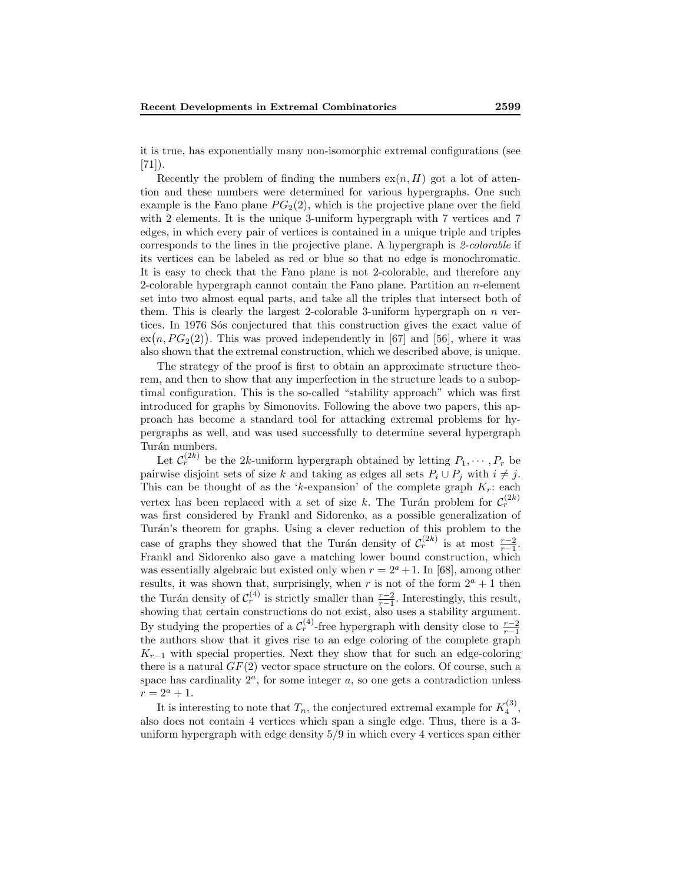it is true, has exponentially many non-isomorphic extremal configurations (see [71]).

Recently the problem of finding the numbers  $ex(n, H)$  got a lot of attention and these numbers were determined for various hypergraphs. One such example is the Fano plane  $PG<sub>2</sub>(2)$ , which is the projective plane over the field with 2 elements. It is the unique 3-uniform hypergraph with 7 vertices and 7 edges, in which every pair of vertices is contained in a unique triple and triples corresponds to the lines in the projective plane. A hypergraph is 2-colorable if its vertices can be labeled as red or blue so that no edge is monochromatic. It is easy to check that the Fano plane is not 2-colorable, and therefore any 2-colorable hypergraph cannot contain the Fano plane. Partition an  $n$ -element set into two almost equal parts, and take all the triples that intersect both of them. This is clearly the largest 2-colorable 3-uniform hypergraph on  $n$  vertices. In 1976 Sós conjectured that this construction gives the exact value of  $ex(n, PG_2(2))$ . This was proved independently in [67] and [56], where it was also shown that the extremal construction, which we described above, is unique.

The strategy of the proof is first to obtain an approximate structure theorem, and then to show that any imperfection in the structure leads to a suboptimal configuration. This is the so-called "stability approach" which was first introduced for graphs by Simonovits. Following the above two papers, this approach has become a standard tool for attacking extremal problems for hypergraphs as well, and was used successfully to determine several hypergraph Turán numbers.

Let  $C_r^{(2k)}$  be the 2k-uniform hypergraph obtained by letting  $P_1, \dots, P_r$  be pairwise disjoint sets of size k and taking as edges all sets  $P_i \cup P_j$  with  $i \neq j$ . This can be thought of as the 'k-expansion' of the complete graph  $K_r$ : each vertex has been replaced with a set of size k. The Turán problem for  $\mathcal{C}_r^{(2k)}$ was first considered by Frankl and Sidorenko, as a possible generalization of Turán's theorem for graphs. Using a clever reduction of this problem to the case of graphs they showed that the Turán density of  $C_r^{(2k)}$  is at most  $\frac{r-2}{r-1}$ . Frankl and Sidorenko also gave a matching lower bound construction, which was essentially algebraic but existed only when  $r = 2^a + 1$ . In [68], among other results, it was shown that, surprisingly, when r is not of the form  $2^a + 1$  then the Turán density of  $C_r^{(4)}$  is strictly smaller than  $\frac{r-2}{r-1}$ . Interestingly, this result, showing that certain constructions do not exist, also uses a stability argument. By studying the properties of a  $\mathcal{C}_r^{(4)}$ -free hypergraph with density close to  $\frac{r-2}{r-1}$  $E_y$  stadying the properties of a  $c_r$  -need hypergraph with density close to  $r_{-1}$ , the authors show that it gives rise to an edge coloring of the complete graph  $K_{r-1}$  with special properties. Next they show that for such an edge-coloring there is a natural  $GF(2)$  vector space structure on the colors. Of course, such a space has cardinality  $2^a$ , for some integer  $a$ , so one gets a contradiction unless  $r = 2^a + 1.$ 

It is interesting to note that  $T_n$ , the conjectured extremal example for  $K_4^{(3)}$ , also does not contain 4 vertices which span a single edge. Thus, there is a 3 uniform hypergraph with edge density 5/9 in which every 4 vertices span either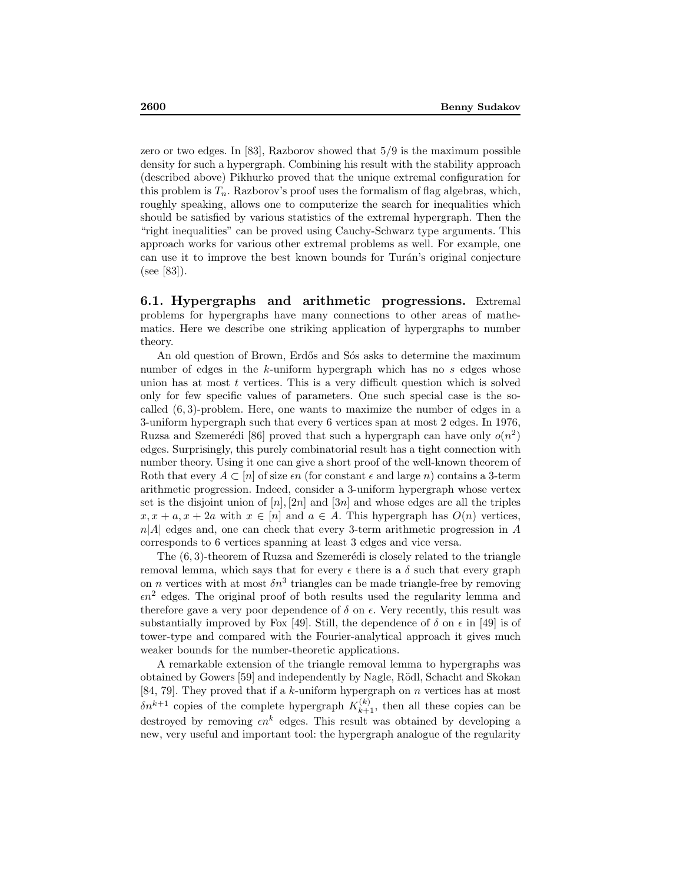zero or two edges. In [83], Razborov showed that  $5/9$  is the maximum possible density for such a hypergraph. Combining his result with the stability approach (described above) Pikhurko proved that the unique extremal configuration for this problem is  $T_n$ . Razborov's proof uses the formalism of flag algebras, which, roughly speaking, allows one to computerize the search for inequalities which should be satisfied by various statistics of the extremal hypergraph. Then the "right inequalities" can be proved using Cauchy-Schwarz type arguments. This approach works for various other extremal problems as well. For example, one can use it to improve the best known bounds for Turán's original conjecture (see [83]).

6.1. Hypergraphs and arithmetic progressions. Extremal problems for hypergraphs have many connections to other areas of mathematics. Here we describe one striking application of hypergraphs to number theory.

An old question of Brown, Erdős and Sós asks to determine the maximum number of edges in the k-uniform hypergraph which has no s edges whose union has at most  $t$  vertices. This is a very difficult question which is solved only for few specific values of parameters. One such special case is the socalled  $(6, 3)$ -problem. Here, one wants to maximize the number of edges in a 3-uniform hypergraph such that every 6 vertices span at most 2 edges. In 1976, Ruzsa and Szemerédi [86] proved that such a hypergraph can have only  $o(n^2)$ edges. Surprisingly, this purely combinatorial result has a tight connection with number theory. Using it one can give a short proof of the well-known theorem of Roth that every  $A \subset [n]$  of size  $\epsilon n$  (for constant  $\epsilon$  and large n) contains a 3-term arithmetic progression. Indeed, consider a 3-uniform hypergraph whose vertex set is the disjoint union of  $[n], [2n]$  and  $[3n]$  and whose edges are all the triples  $x, x + a, x + 2a$  with  $x \in [n]$  and  $a \in A$ . This hypergraph has  $O(n)$  vertices,  $n|A|$  edges and, one can check that every 3-term arithmetic progression in A corresponds to 6 vertices spanning at least 3 edges and vice versa.

The  $(6, 3)$ -theorem of Ruzsa and Szemerédi is closely related to the triangle removal lemma, which says that for every  $\epsilon$  there is a  $\delta$  such that every graph on *n* vertices with at most  $\delta n^3$  triangles can be made triangle-free by removing  $\epsilon n^2$  edges. The original proof of both results used the regularity lemma and therefore gave a very poor dependence of  $\delta$  on  $\epsilon$ . Very recently, this result was substantially improved by Fox [49]. Still, the dependence of  $\delta$  on  $\epsilon$  in [49] is of tower-type and compared with the Fourier-analytical approach it gives much weaker bounds for the number-theoretic applications.

A remarkable extension of the triangle removal lemma to hypergraphs was obtained by Gowers [59] and independently by Nagle, Rödl, Schacht and Skokan [84, 79]. They proved that if a  $k$ -uniform hypergraph on  $n$  vertices has at most  $\delta n^{k+1}$  copies of the complete hypergraph  $K_{k+1}^{(k)}$ , then all these copies can be destroyed by removing  $\epsilon n^k$  edges. This result was obtained by developing a new, very useful and important tool: the hypergraph analogue of the regularity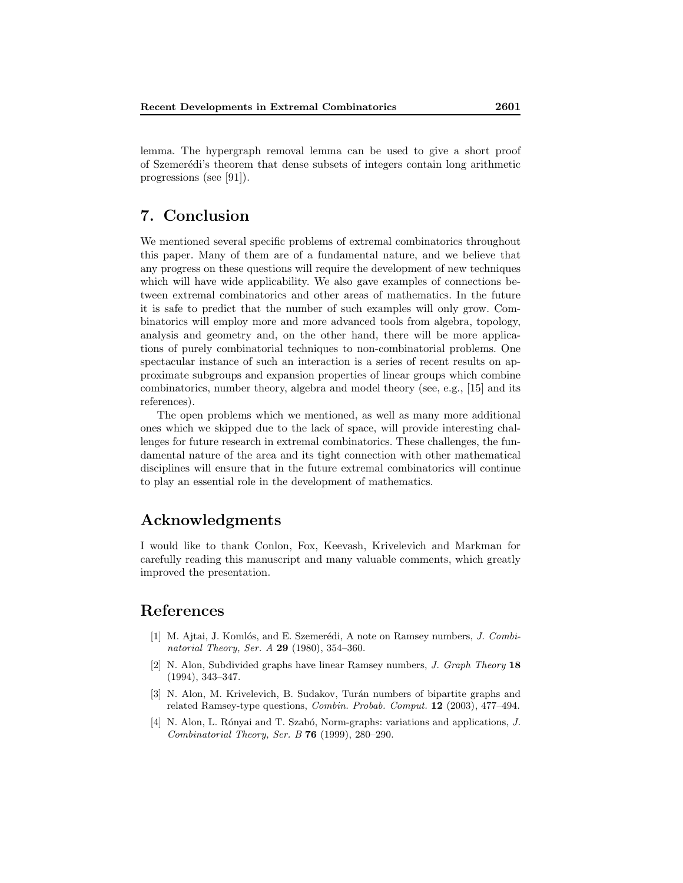lemma. The hypergraph removal lemma can be used to give a short proof of Szemer´edi's theorem that dense subsets of integers contain long arithmetic progressions (see [91]).

#### 7. Conclusion

We mentioned several specific problems of extremal combinatorics throughout this paper. Many of them are of a fundamental nature, and we believe that any progress on these questions will require the development of new techniques which will have wide applicability. We also gave examples of connections between extremal combinatorics and other areas of mathematics. In the future it is safe to predict that the number of such examples will only grow. Combinatorics will employ more and more advanced tools from algebra, topology, analysis and geometry and, on the other hand, there will be more applications of purely combinatorial techniques to non-combinatorial problems. One spectacular instance of such an interaction is a series of recent results on approximate subgroups and expansion properties of linear groups which combine combinatorics, number theory, algebra and model theory (see, e.g., [15] and its references).

The open problems which we mentioned, as well as many more additional ones which we skipped due to the lack of space, will provide interesting challenges for future research in extremal combinatorics. These challenges, the fundamental nature of the area and its tight connection with other mathematical disciplines will ensure that in the future extremal combinatorics will continue to play an essential role in the development of mathematics.

# Acknowledgments

I would like to thank Conlon, Fox, Keevash, Krivelevich and Markman for carefully reading this manuscript and many valuable comments, which greatly improved the presentation.

#### References

- [1] M. Ajtai, J. Komlós, and E. Szemerédi, A note on Ramsey numbers, J. Combinatorial Theory, Ser. A **29** (1980), 354-360.
- [2] N. Alon, Subdivided graphs have linear Ramsey numbers, J. Graph Theory 18 (1994), 343–347.
- [3] N. Alon, M. Krivelevich, B. Sudakov, Turán numbers of bipartite graphs and related Ramsey-type questions, Combin. Probab. Comput. 12 (2003), 477–494.
- [4] N. Alon, L. Rónyai and T. Szabó, Norm-graphs: variations and applications, J. Combinatorial Theory, Ser. B 76 (1999), 280–290.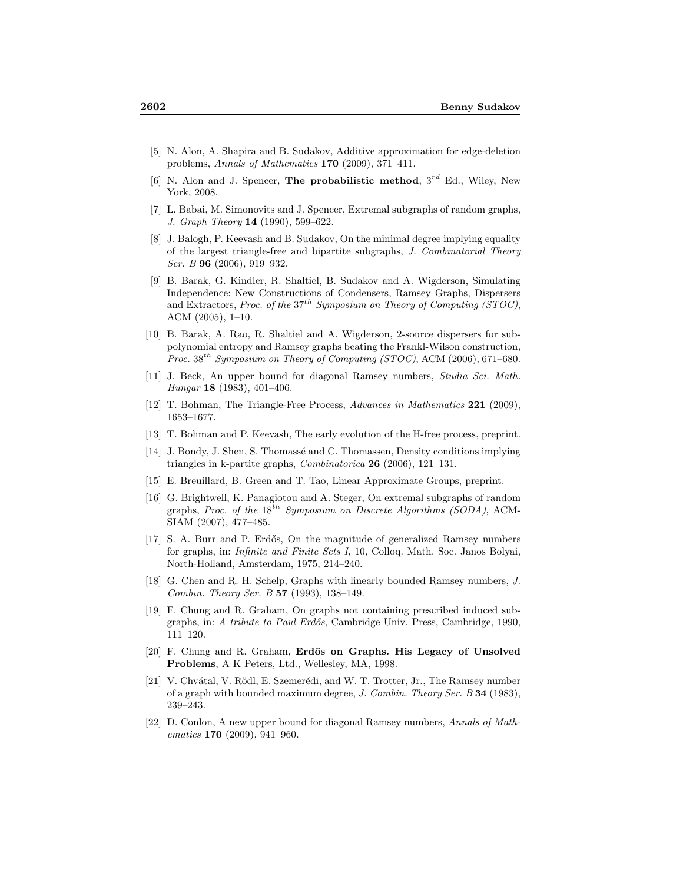- [5] N. Alon, A. Shapira and B. Sudakov, Additive approximation for edge-deletion problems, Annals of Mathematics 170 (2009), 371–411.
- [6] N. Alon and J. Spencer, **The probabilistic method**,  $3^{rd}$  Ed., Wiley, New York, 2008.
- [7] L. Babai, M. Simonovits and J. Spencer, Extremal subgraphs of random graphs, J. Graph Theory 14 (1990), 599–622.
- [8] J. Balogh, P. Keevash and B. Sudakov, On the minimal degree implying equality of the largest triangle-free and bipartite subgraphs, J. Combinatorial Theory Ser. B 96 (2006), 919–932.
- [9] B. Barak, G. Kindler, R. Shaltiel, B. Sudakov and A. Wigderson, Simulating Independence: New Constructions of Condensers, Ramsey Graphs, Dispersers and Extractors, Proc. of the  $37<sup>th</sup>$  Symposium on Theory of Computing (STOC), ACM (2005), 1–10.
- [10] B. Barak, A. Rao, R. Shaltiel and A. Wigderson, 2-source dispersers for subpolynomial entropy and Ramsey graphs beating the Frankl-Wilson construction, Proc.  $38^{th}$  Symposium on Theory of Computing (STOC), ACM (2006), 671–680.
- [11] J. Beck, An upper bound for diagonal Ramsey numbers, *Studia Sci. Math.* Hungar 18 (1983), 401–406.
- [12] T. Bohman, The Triangle-Free Process, Advances in Mathematics 221 (2009), 1653–1677.
- [13] T. Bohman and P. Keevash, The early evolution of the H-free process, preprint.
- [14] J. Bondy, J. Shen, S. Thomassé and C. Thomassen, Density conditions implying triangles in k-partite graphs, Combinatorica 26 (2006), 121–131.
- [15] E. Breuillard, B. Green and T. Tao, Linear Approximate Groups, preprint.
- [16] G. Brightwell, K. Panagiotou and A. Steger, On extremal subgraphs of random graphs, Proc. of the  $18^{th}$  Symposium on Discrete Algorithms (SODA), ACM-SIAM (2007), 477–485.
- [17] S. A. Burr and P. Erdős, On the magnitude of generalized Ramsey numbers for graphs, in: Infinite and Finite Sets I, 10, Colloq. Math. Soc. Janos Bolyai, North-Holland, Amsterdam, 1975, 214–240.
- [18] G. Chen and R. H. Schelp, Graphs with linearly bounded Ramsey numbers, J. Combin. Theory Ser. B 57 (1993), 138–149.
- [19] F. Chung and R. Graham, On graphs not containing prescribed induced subgraphs, in: A tribute to Paul Erd˝os, Cambridge Univ. Press, Cambridge, 1990, 111–120.
- [20] F. Chung and R. Graham, Erdős on Graphs. His Legacy of Unsolved Problems, A K Peters, Ltd., Wellesley, MA, 1998.
- [21] V. Chvátal, V. Rödl, E. Szemerédi, and W. T. Trotter, Jr., The Ramsey number of a graph with bounded maximum degree, J. Combin. Theory Ser. B 34 (1983), 239–243.
- [22] D. Conlon, A new upper bound for diagonal Ramsey numbers, Annals of Mathematics 170 (2009), 941–960.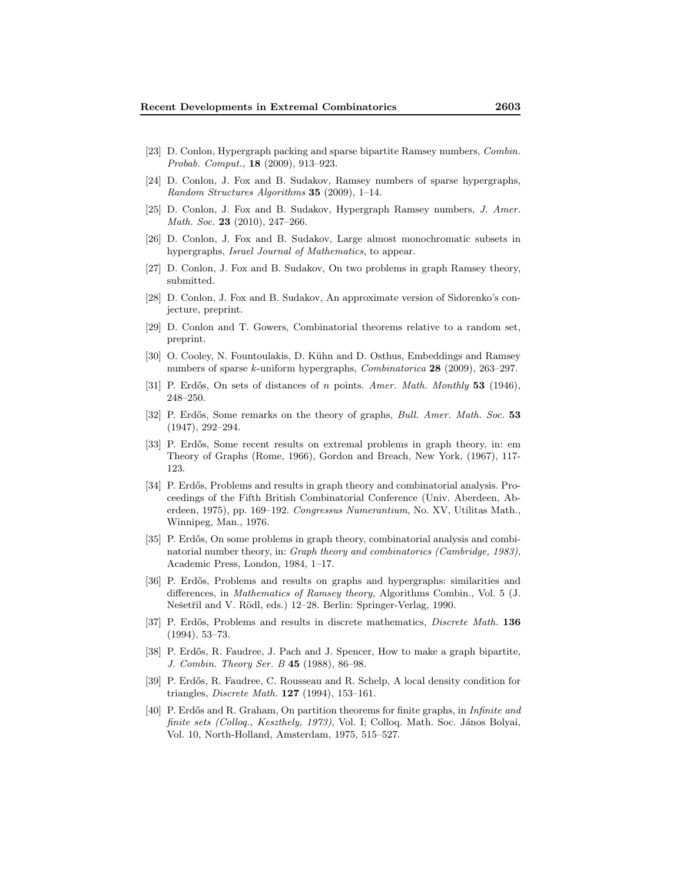- [23] D. Conlon, Hypergraph packing and sparse bipartite Ramsey numbers, Combin. Probab. Comput., 18 (2009), 913–923.
- [24] D. Conlon, J. Fox and B. Sudakov, Ramsey numbers of sparse hypergraphs, Random Structures Algorithms 35 (2009), 1–14.
- [25] D. Conlon, J. Fox and B. Sudakov, Hypergraph Ramsey numbers, J. Amer. Math. Soc. 23 (2010), 247-266.
- [26] D. Conlon, J. Fox and B. Sudakov, Large almost monochromatic subsets in hypergraphs, Israel Journal of Mathematics, to appear.
- [27] D. Conlon, J. Fox and B. Sudakov, On two problems in graph Ramsey theory, submitted.
- [28] D. Conlon, J. Fox and B. Sudakov, An approximate version of Sidorenko's conjecture, preprint.
- [29] D. Conlon and T. Gowers, Combinatorial theorems relative to a random set, preprint.
- [30] O. Cooley, N. Fountoulakis, D. Kühn and D. Osthus, Embeddings and Ramsey numbers of sparse k-uniform hypergraphs, Combinatorica 28 (2009), 263–297.
- [31] P. Erdős, On sets of distances of n points. Amer. Math. Monthly 53 (1946), 248–250.
- [32] P. Erdős, Some remarks on the theory of graphs, *Bull. Amer. Math. Soc.* 53 (1947), 292–294.
- [33] P. Erdős, Some recent results on extremal problems in graph theory, in: em Theory of Graphs (Rome, 1966), Gordon and Breach, New York, (1967), 117- 123.
- [34] P. Erdős, Problems and results in graph theory and combinatorial analysis. Proceedings of the Fifth British Combinatorial Conference (Univ. Aberdeen, Aberdeen, 1975), pp. 169–192. Congressus Numerantium, No. XV, Utilitas Math., Winnipeg, Man., 1976.
- [35] P. Erdős, On some problems in graph theory, combinatorial analysis and combinatorial number theory, in: Graph theory and combinatorics (Cambridge, 1983), Academic Press, London, 1984, 1–17.
- [36] P. Erdős, Problems and results on graphs and hypergraphs: similarities and differences, in Mathematics of Ramsey theory, Algorithms Combin., Vol. 5 (J. Nešetřil and V. Rödl, eds.) 12–28. Berlin: Springer-Verlag, 1990.
- [37] P. Erdős, Problems and results in discrete mathematics, *Discrete Math.* 136 (1994), 53–73.
- [38] P. Erdős, R. Faudree, J. Pach and J. Spencer, How to make a graph bipartite, J. Combin. Theory Ser. B 45 (1988), 86–98.
- [39] P. Erdős, R. Faudree, C. Rousseau and R. Schelp, A local density condition for triangles, Discrete Math. 127 (1994), 153–161.
- [40] P. Erdős and R. Graham, On partition theorems for finite graphs, in *Infinite and* finite sets (Colloq., Keszthely, 1973), Vol. I; Colloq. Math. Soc. János Bolyai, Vol. 10, North-Holland, Amsterdam, 1975, 515–527.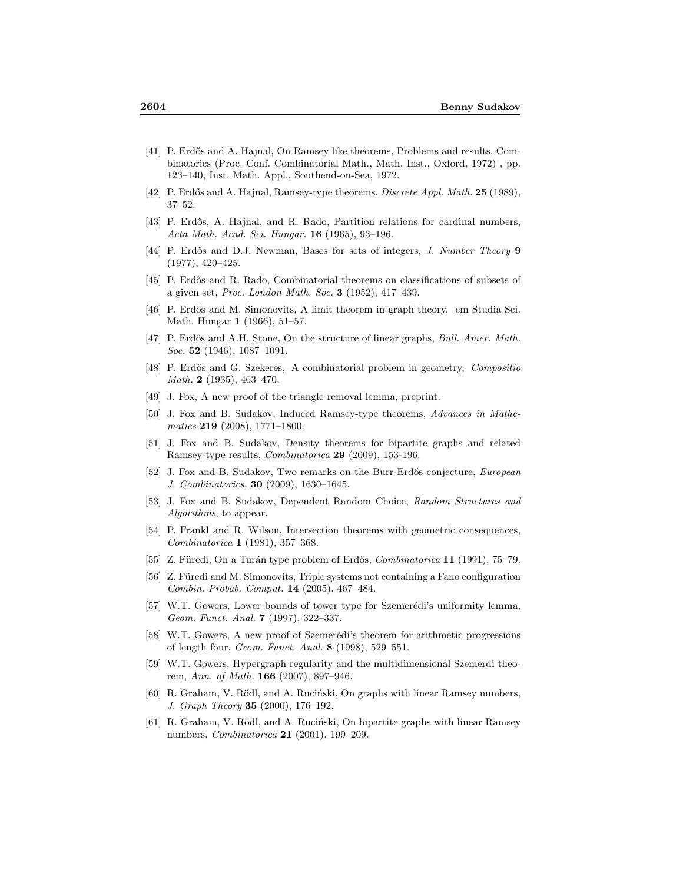- [41] P. Erdős and A. Hajnal, On Ramsey like theorems, Problems and results, Combinatorics (Proc. Conf. Combinatorial Math., Math. Inst., Oxford, 1972) , pp. 123–140, Inst. Math. Appl., Southend-on-Sea, 1972.
- [42] P. Erdős and A. Hajnal, Ramsey-type theorems, *Discrete Appl. Math.* 25 (1989), 37–52.
- [43] P. Erdős, A. Hajnal, and R. Rado, Partition relations for cardinal numbers, Acta Math. Acad. Sci. Hungar. 16 (1965), 93–196.
- [44] P. Erdős and D.J. Newman, Bases for sets of integers, J. Number Theory 9 (1977), 420–425.
- [45] P. Erdős and R. Rado, Combinatorial theorems on classifications of subsets of a given set, Proc. London Math. Soc. 3 (1952), 417–439.
- [46] P. Erd˝os and M. Simonovits, A limit theorem in graph theory, em Studia Sci. Math. Hungar 1 (1966), 51–57.
- [47] P. Erdős and A.H. Stone, On the structure of linear graphs, *Bull. Amer. Math.* Soc. 52 (1946), 1087-1091.
- [48] P. Erdős and G. Szekeres, A combinatorial problem in geometry, Compositio Math. 2 (1935), 463–470.
- [49] J. Fox, A new proof of the triangle removal lemma, preprint.
- [50] J. Fox and B. Sudakov, Induced Ramsey-type theorems, Advances in Mathematics 219 (2008), 1771–1800.
- [51] J. Fox and B. Sudakov, Density theorems for bipartite graphs and related Ramsey-type results, Combinatorica 29 (2009), 153-196.
- [52] J. Fox and B. Sudakov, Two remarks on the Burr-Erdős conjecture, *European* J. Combinatorics, 30 (2009), 1630–1645.
- [53] J. Fox and B. Sudakov, Dependent Random Choice, Random Structures and Algorithms, to appear.
- [54] P. Frankl and R. Wilson, Intersection theorems with geometric consequences, Combinatorica 1 (1981), 357–368.
- [55] Z. Füredi, On a Turán type problem of Erdős,  $Combinatorica 11 (1991), 75–79.$
- [56] Z. Füredi and M. Simonovits, Triple systems not containing a Fano configuration Combin. Probab. Comput. 14 (2005), 467–484.
- [57] W.T. Gowers, Lower bounds of tower type for Szemerédi's uniformity lemma, Geom. Funct. Anal. 7 (1997), 322–337.
- [58] W.T. Gowers, A new proof of Szemerédi's theorem for arithmetic progressions of length four, Geom. Funct. Anal. 8 (1998), 529–551.
- [59] W.T. Gowers, Hypergraph regularity and the multidimensional Szemerdi theorem, Ann. of Math. 166 (2007), 897–946.
- [60] R. Graham, V. Rödl, and A. Ruciński, On graphs with linear Ramsey numbers, J. Graph Theory 35 (2000), 176–192.
- [61] R. Graham, V. Rödl, and A. Ruciński, On bipartite graphs with linear Ramsey numbers, Combinatorica 21 (2001), 199–209.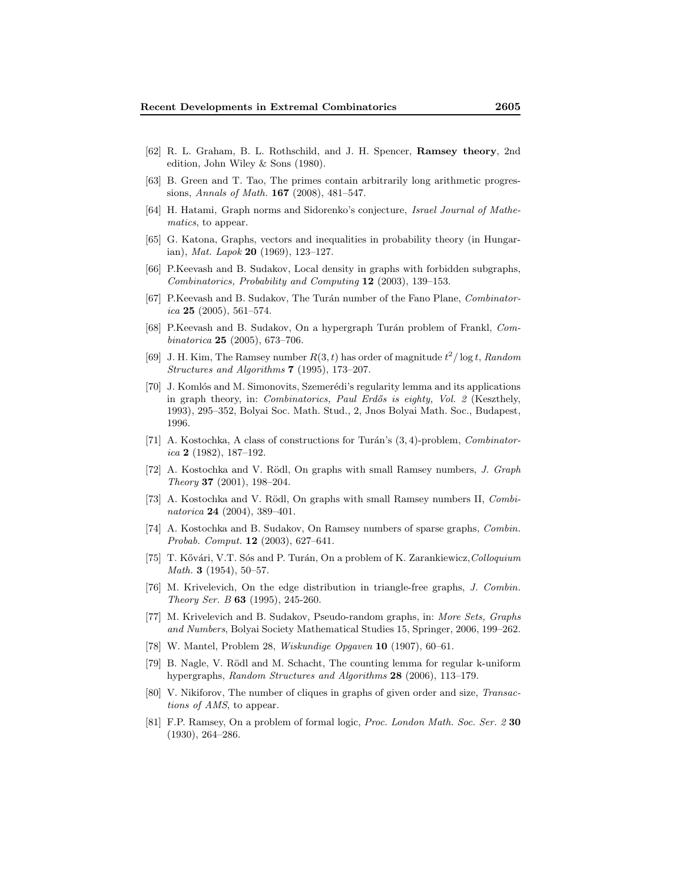- [62] R. L. Graham, B. L. Rothschild, and J. H. Spencer, Ramsey theory, 2nd edition, John Wiley & Sons (1980).
- [63] B. Green and T. Tao, The primes contain arbitrarily long arithmetic progressions, Annals of Math. 167 (2008), 481–547.
- [64] H. Hatami, Graph norms and Sidorenko's conjecture, Israel Journal of Mathematics, to appear.
- [65] G. Katona, Graphs, vectors and inequalities in probability theory (in Hungarian), Mat. Lapok 20 (1969), 123–127.
- [66] P.Keevash and B. Sudakov, Local density in graphs with forbidden subgraphs, Combinatorics, Probability and Computing 12 (2003), 139–153.
- [67] P.Keevash and B. Sudakov, The Turán number of the Fano Plane, *Combinator*ica 25 (2005), 561–574.
- [68] P.Keevash and B. Sudakov, On a hypergraph Turán problem of Frankl, Combinatorica 25 (2005), 673–706.
- [69] J. H. Kim, The Ramsey number  $R(3, t)$  has order of magnitude  $t^2/\log t$ , Random Structures and Algorithms 7 (1995), 173–207.
- [70] J. Komlós and M. Simonovits, Szemerédi's regularity lemma and its applications in graph theory, in: Combinatorics, Paul Erdős is eighty, Vol. 2 (Keszthely, 1993), 295–352, Bolyai Soc. Math. Stud., 2, Jnos Bolyai Math. Soc., Budapest, 1996.
- [71] A. Kostochka, A class of constructions for Turán's  $(3, 4)$ -problem, Combinatorica 2 (1982), 187-192.
- [72] A. Kostochka and V. Rödl, On graphs with small Ramsey numbers, J. Graph Theory 37 (2001), 198–204.
- [73] A. Kostochka and V. Rödl, On graphs with small Ramsey numbers II, Combinatorica 24 (2004), 389–401.
- [74] A. Kostochka and B. Sudakov, On Ramsey numbers of sparse graphs, Combin. Probab. Comput. 12 (2003), 627–641.
- [75] T. Kővári, V.T. Sós and P. Turán, On a problem of K. Zarankiewicz, Colloquium Math. 3 (1954), 50–57.
- [76] M. Krivelevich, On the edge distribution in triangle-free graphs, J. Combin. Theory Ser. B 63 (1995), 245-260.
- [77] M. Krivelevich and B. Sudakov, Pseudo-random graphs, in: More Sets, Graphs and Numbers, Bolyai Society Mathematical Studies 15, Springer, 2006, 199–262.
- [78] W. Mantel, Problem 28, Wiskundige Opgaven 10 (1907), 60–61.
- [79] B. Nagle, V. Rödl and M. Schacht, The counting lemma for regular k-uniform hypergraphs, Random Structures and Algorithms 28 (2006), 113–179.
- [80] V. Nikiforov, The number of cliques in graphs of given order and size, Transactions of AMS, to appear.
- [81] F.P. Ramsey, On a problem of formal logic, Proc. London Math. Soc. Ser. 2 30 (1930), 264–286.